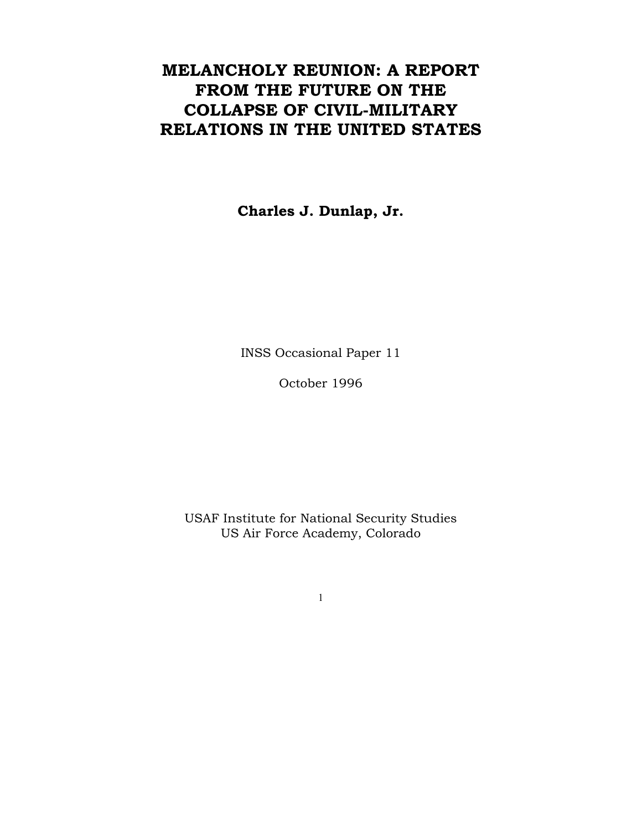# **MELANCHOLY REUNION: A REPORT FROM THE FUTURE ON THE COLLAPSE OF CIVIL-MILITARY RELATIONS IN THE UNITED STATES**

**Charles J. Dunlap, Jr.** 

INSS Occasional Paper 11

October 1996

USAF Institute for National Security Studies US Air Force Academy, Colorado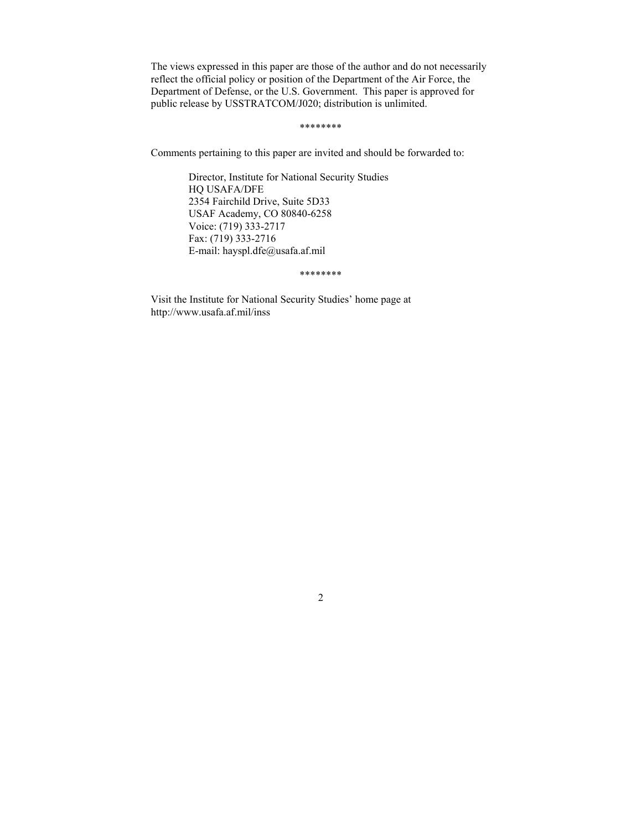The views expressed in this paper are those of the author and do not necessarily reflect the official policy or position of the Department of the Air Force, the Department of Defense, or the U.S. Government. This paper is approved for public release by USSTRATCOM/J020; distribution is unlimited.

\*\*\*\*\*\*\*\*

Comments pertaining to this paper are invited and should be forwarded to:

Director, Institute for National Security Studies HQ USAFA/DFE 2354 Fairchild Drive, Suite 5D33 USAF Academy, CO 80840-6258 Voice: (719) 333-2717 Fax: (719) 333-2716 E-mail: hayspl.dfe@usafa.af.mil

\*\*\*\*\*\*\*\*

Visit the Institute for National Security Studies' home page at http://www.usafa.af.mil/inss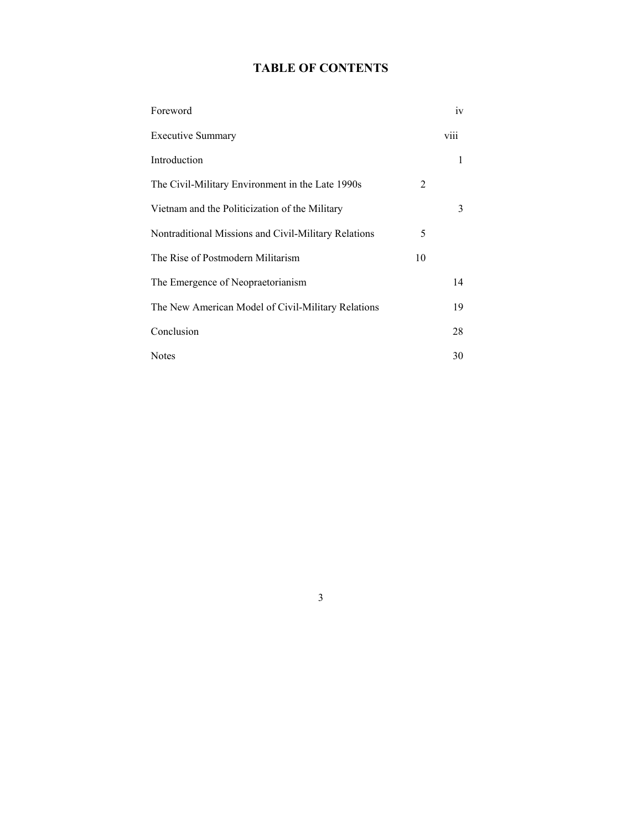# **TABLE OF CONTENTS**

| Foreword                                             |    | 1V   |
|------------------------------------------------------|----|------|
| <b>Executive Summary</b>                             |    | viii |
| Introduction                                         |    | 1    |
| The Civil-Military Environment in the Late 1990s     | 2  |      |
| Vietnam and the Politicization of the Military       |    | 3    |
| Nontraditional Missions and Civil-Military Relations | 5  |      |
| The Rise of Postmodern Militarism                    | 10 |      |
| The Emergence of Neopraetorianism                    |    | 14   |
| The New American Model of Civil-Military Relations   |    | 19   |
| Conclusion                                           |    | 28   |
| <b>Notes</b>                                         |    | 30   |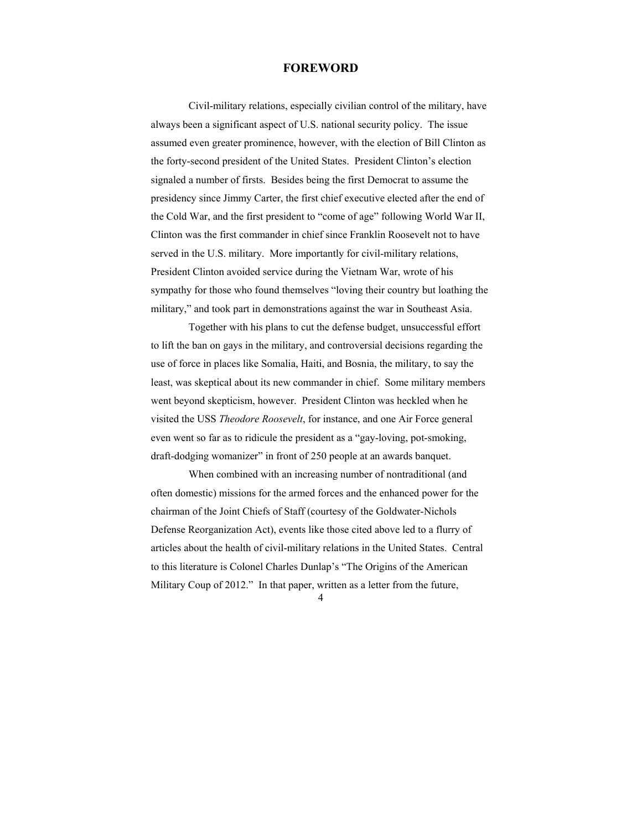## **FOREWORD**

 Civil-military relations, especially civilian control of the military, have always been a significant aspect of U.S. national security policy. The issue assumed even greater prominence, however, with the election of Bill Clinton as the forty-second president of the United States. President Clinton's election signaled a number of firsts. Besides being the first Democrat to assume the presidency since Jimmy Carter, the first chief executive elected after the end of the Cold War, and the first president to "come of age" following World War II, Clinton was the first commander in chief since Franklin Roosevelt not to have served in the U.S. military. More importantly for civil-military relations, President Clinton avoided service during the Vietnam War, wrote of his sympathy for those who found themselves "loving their country but loathing the military," and took part in demonstrations against the war in Southeast Asia.

 Together with his plans to cut the defense budget, unsuccessful effort to lift the ban on gays in the military, and controversial decisions regarding the use of force in places like Somalia, Haiti, and Bosnia, the military, to say the least, was skeptical about its new commander in chief. Some military members went beyond skepticism, however. President Clinton was heckled when he visited the USS *Theodore Roosevelt*, for instance, and one Air Force general even went so far as to ridicule the president as a "gay-loving, pot-smoking, draft-dodging womanizer" in front of 250 people at an awards banquet.

 When combined with an increasing number of nontraditional (and often domestic) missions for the armed forces and the enhanced power for the chairman of the Joint Chiefs of Staff (courtesy of the Goldwater-Nichols Defense Reorganization Act), events like those cited above led to a flurry of articles about the health of civil-military relations in the United States. Central to this literature is Colonel Charles Dunlap's "The Origins of the American Military Coup of 2012." In that paper, written as a letter from the future,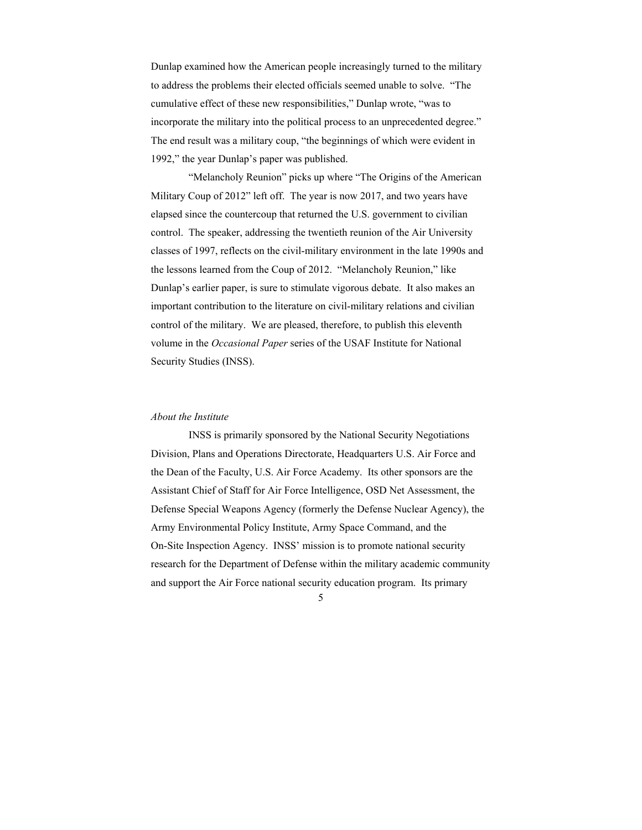Dunlap examined how the American people increasingly turned to the military to address the problems their elected officials seemed unable to solve. "The cumulative effect of these new responsibilities," Dunlap wrote, "was to incorporate the military into the political process to an unprecedented degree." The end result was a military coup, "the beginnings of which were evident in 1992," the year Dunlap's paper was published.

 "Melancholy Reunion" picks up where "The Origins of the American Military Coup of 2012" left off. The year is now 2017, and two years have elapsed since the countercoup that returned the U.S. government to civilian control. The speaker, addressing the twentieth reunion of the Air University classes of 1997, reflects on the civil-military environment in the late 1990s and the lessons learned from the Coup of 2012. "Melancholy Reunion," like Dunlap's earlier paper, is sure to stimulate vigorous debate. It also makes an important contribution to the literature on civil-military relations and civilian control of the military. We are pleased, therefore, to publish this eleventh volume in the *Occasional Paper* series of the USAF Institute for National Security Studies (INSS).

#### *About the Institute*

 INSS is primarily sponsored by the National Security Negotiations Division, Plans and Operations Directorate, Headquarters U.S. Air Force and the Dean of the Faculty, U.S. Air Force Academy. Its other sponsors are the Assistant Chief of Staff for Air Force Intelligence, OSD Net Assessment, the Defense Special Weapons Agency (formerly the Defense Nuclear Agency), the Army Environmental Policy Institute, Army Space Command, and the On-Site Inspection Agency. INSS' mission is to promote national security research for the Department of Defense within the military academic community and support the Air Force national security education program. Its primary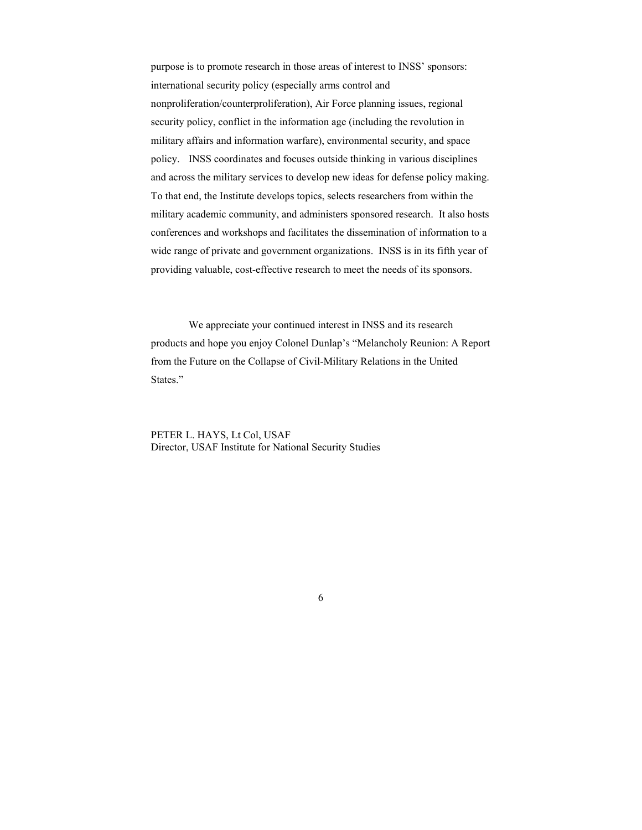purpose is to promote research in those areas of interest to INSS' sponsors: international security policy (especially arms control and nonproliferation/counterproliferation), Air Force planning issues, regional security policy, conflict in the information age (including the revolution in military affairs and information warfare), environmental security, and space policy. INSS coordinates and focuses outside thinking in various disciplines and across the military services to develop new ideas for defense policy making. To that end, the Institute develops topics, selects researchers from within the military academic community, and administers sponsored research. It also hosts conferences and workshops and facilitates the dissemination of information to a wide range of private and government organizations. INSS is in its fifth year of providing valuable, cost-effective research to meet the needs of its sponsors.

 We appreciate your continued interest in INSS and its research products and hope you enjoy Colonel Dunlap's "Melancholy Reunion: A Report from the Future on the Collapse of Civil-Military Relations in the United States."

PETER L. HAYS, Lt Col, USAF Director, USAF Institute for National Security Studies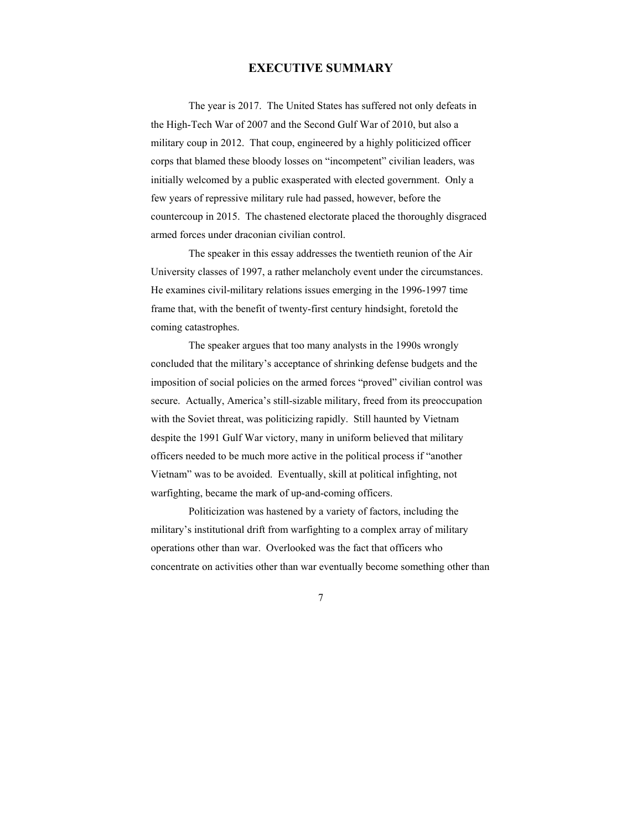# **EXECUTIVE SUMMARY**

 The year is 2017. The United States has suffered not only defeats in the High-Tech War of 2007 and the Second Gulf War of 2010, but also a military coup in 2012. That coup, engineered by a highly politicized officer corps that blamed these bloody losses on "incompetent" civilian leaders, was initially welcomed by a public exasperated with elected government. Only a few years of repressive military rule had passed, however, before the countercoup in 2015. The chastened electorate placed the thoroughly disgraced armed forces under draconian civilian control.

 The speaker in this essay addresses the twentieth reunion of the Air University classes of 1997, a rather melancholy event under the circumstances. He examines civil-military relations issues emerging in the 1996-1997 time frame that, with the benefit of twenty-first century hindsight, foretold the coming catastrophes.

 The speaker argues that too many analysts in the 1990s wrongly concluded that the military's acceptance of shrinking defense budgets and the imposition of social policies on the armed forces "proved" civilian control was secure. Actually, America's still-sizable military, freed from its preoccupation with the Soviet threat, was politicizing rapidly. Still haunted by Vietnam despite the 1991 Gulf War victory, many in uniform believed that military officers needed to be much more active in the political process if "another Vietnam" was to be avoided. Eventually, skill at political infighting, not warfighting, became the mark of up-and-coming officers.

 Politicization was hastened by a variety of factors, including the military's institutional drift from warfighting to a complex array of military operations other than war. Overlooked was the fact that officers who concentrate on activities other than war eventually become something other than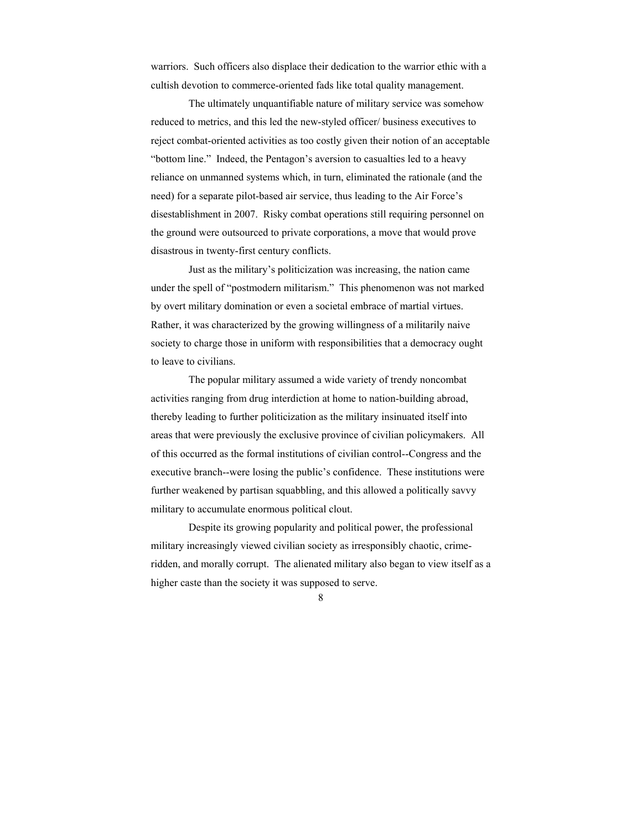warriors. Such officers also displace their dedication to the warrior ethic with a cultish devotion to commerce-oriented fads like total quality management.

 The ultimately unquantifiable nature of military service was somehow reduced to metrics, and this led the new-styled officer/ business executives to reject combat-oriented activities as too costly given their notion of an acceptable "bottom line." Indeed, the Pentagon's aversion to casualties led to a heavy reliance on unmanned systems which, in turn, eliminated the rationale (and the need) for a separate pilot-based air service, thus leading to the Air Force's disestablishment in 2007. Risky combat operations still requiring personnel on the ground were outsourced to private corporations, a move that would prove disastrous in twenty-first century conflicts.

 Just as the military's politicization was increasing, the nation came under the spell of "postmodern militarism." This phenomenon was not marked by overt military domination or even a societal embrace of martial virtues. Rather, it was characterized by the growing willingness of a militarily naive society to charge those in uniform with responsibilities that a democracy ought to leave to civilians.

 The popular military assumed a wide variety of trendy noncombat activities ranging from drug interdiction at home to nation-building abroad, thereby leading to further politicization as the military insinuated itself into areas that were previously the exclusive province of civilian policymakers. All of this occurred as the formal institutions of civilian control--Congress and the executive branch--were losing the public's confidence. These institutions were further weakened by partisan squabbling, and this allowed a politically savvy military to accumulate enormous political clout.

 Despite its growing popularity and political power, the professional military increasingly viewed civilian society as irresponsibly chaotic, crimeridden, and morally corrupt. The alienated military also began to view itself as a higher caste than the society it was supposed to serve.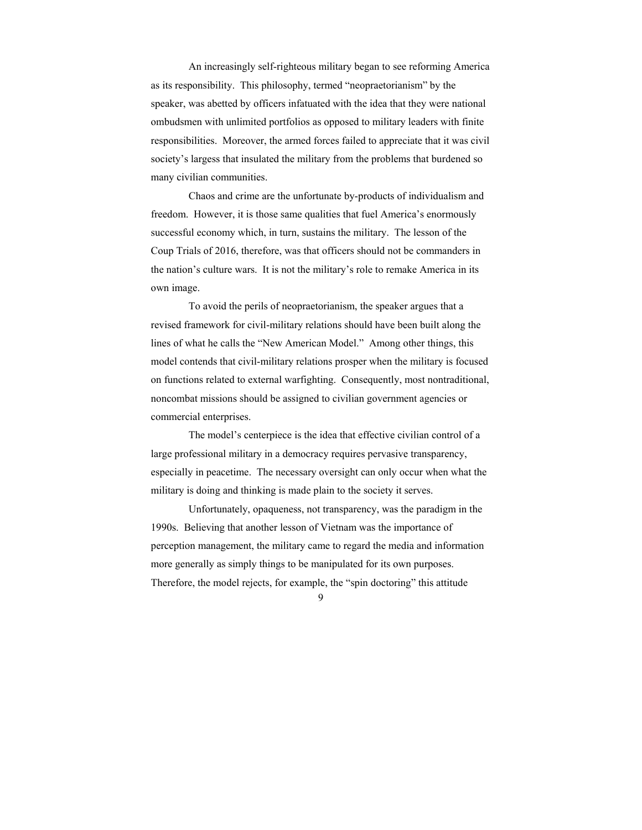An increasingly self-righteous military began to see reforming America as its responsibility. This philosophy, termed "neopraetorianism" by the speaker, was abetted by officers infatuated with the idea that they were national ombudsmen with unlimited portfolios as opposed to military leaders with finite responsibilities. Moreover, the armed forces failed to appreciate that it was civil society's largess that insulated the military from the problems that burdened so many civilian communities.

 Chaos and crime are the unfortunate by-products of individualism and freedom. However, it is those same qualities that fuel America's enormously successful economy which, in turn, sustains the military. The lesson of the Coup Trials of 2016, therefore, was that officers should not be commanders in the nation's culture wars. It is not the military's role to remake America in its own image.

 To avoid the perils of neopraetorianism, the speaker argues that a revised framework for civil-military relations should have been built along the lines of what he calls the "New American Model." Among other things, this model contends that civil-military relations prosper when the military is focused on functions related to external warfighting. Consequently, most nontraditional, noncombat missions should be assigned to civilian government agencies or commercial enterprises.

 The model's centerpiece is the idea that effective civilian control of a large professional military in a democracy requires pervasive transparency, especially in peacetime. The necessary oversight can only occur when what the military is doing and thinking is made plain to the society it serves.

 Unfortunately, opaqueness, not transparency, was the paradigm in the 1990s. Believing that another lesson of Vietnam was the importance of perception management, the military came to regard the media and information more generally as simply things to be manipulated for its own purposes. Therefore, the model rejects, for example, the "spin doctoring" this attitude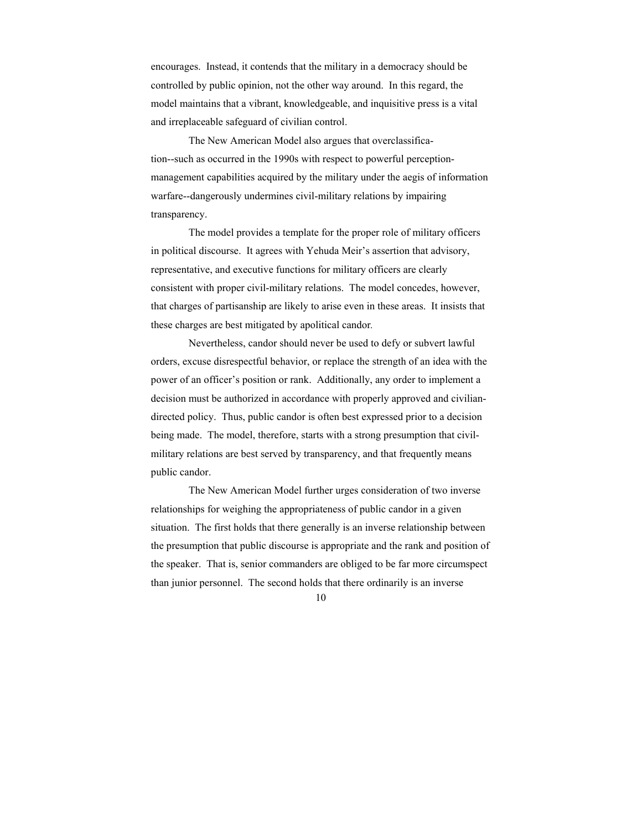encourages. Instead, it contends that the military in a democracy should be controlled by public opinion, not the other way around. In this regard, the model maintains that a vibrant, knowledgeable, and inquisitive press is a vital and irreplaceable safeguard of civilian control.

 The New American Model also argues that overclassification--such as occurred in the 1990s with respect to powerful perceptionmanagement capabilities acquired by the military under the aegis of information warfare--dangerously undermines civil-military relations by impairing transparency.

 The model provides a template for the proper role of military officers in political discourse. It agrees with Yehuda Meir's assertion that advisory, representative, and executive functions for military officers are clearly consistent with proper civil-military relations. The model concedes, however, that charges of partisanship are likely to arise even in these areas. It insists that these charges are best mitigated by apolitical candor*.* 

 Nevertheless, candor should never be used to defy or subvert lawful orders, excuse disrespectful behavior, or replace the strength of an idea with the power of an officer's position or rank. Additionally, any order to implement a decision must be authorized in accordance with properly approved and civiliandirected policy. Thus, public candor is often best expressed prior to a decision being made. The model, therefore, starts with a strong presumption that civilmilitary relations are best served by transparency, and that frequently means public candor.

 The New American Model further urges consideration of two inverse relationships for weighing the appropriateness of public candor in a given situation. The first holds that there generally is an inverse relationship between the presumption that public discourse is appropriate and the rank and position of the speaker. That is, senior commanders are obliged to be far more circumspect than junior personnel. The second holds that there ordinarily is an inverse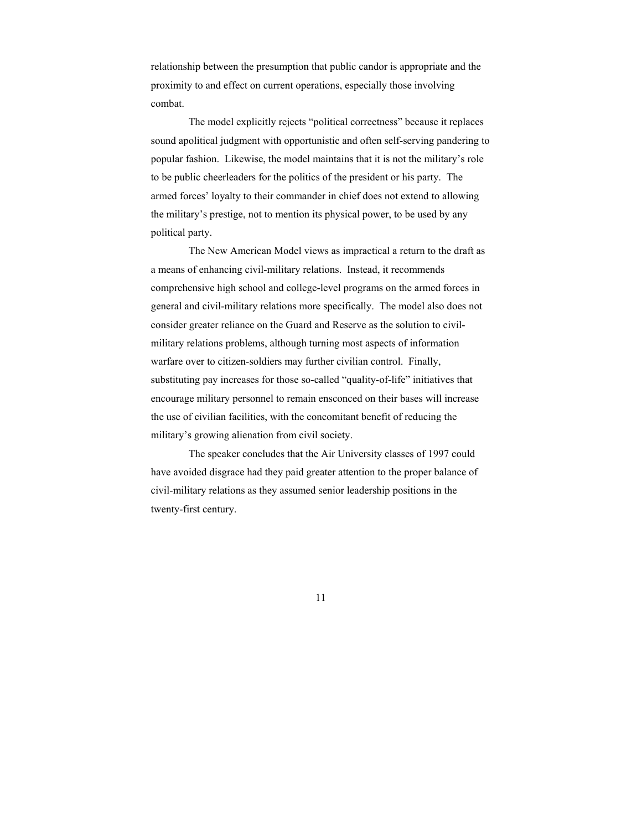relationship between the presumption that public candor is appropriate and the proximity to and effect on current operations, especially those involving combat.

 The model explicitly rejects "political correctness" because it replaces sound apolitical judgment with opportunistic and often self-serving pandering to popular fashion. Likewise, the model maintains that it is not the military's role to be public cheerleaders for the politics of the president or his party. The armed forces' loyalty to their commander in chief does not extend to allowing the military's prestige, not to mention its physical power, to be used by any political party.

 The New American Model views as impractical a return to the draft as a means of enhancing civil-military relations. Instead, it recommends comprehensive high school and college-level programs on the armed forces in general and civil-military relations more specifically. The model also does not consider greater reliance on the Guard and Reserve as the solution to civilmilitary relations problems, although turning most aspects of information warfare over to citizen-soldiers may further civilian control. Finally, substituting pay increases for those so-called "quality-of-life" initiatives that encourage military personnel to remain ensconced on their bases will increase the use of civilian facilities, with the concomitant benefit of reducing the military's growing alienation from civil society.

 The speaker concludes that the Air University classes of 1997 could have avoided disgrace had they paid greater attention to the proper balance of civil-military relations as they assumed senior leadership positions in the twenty-first century.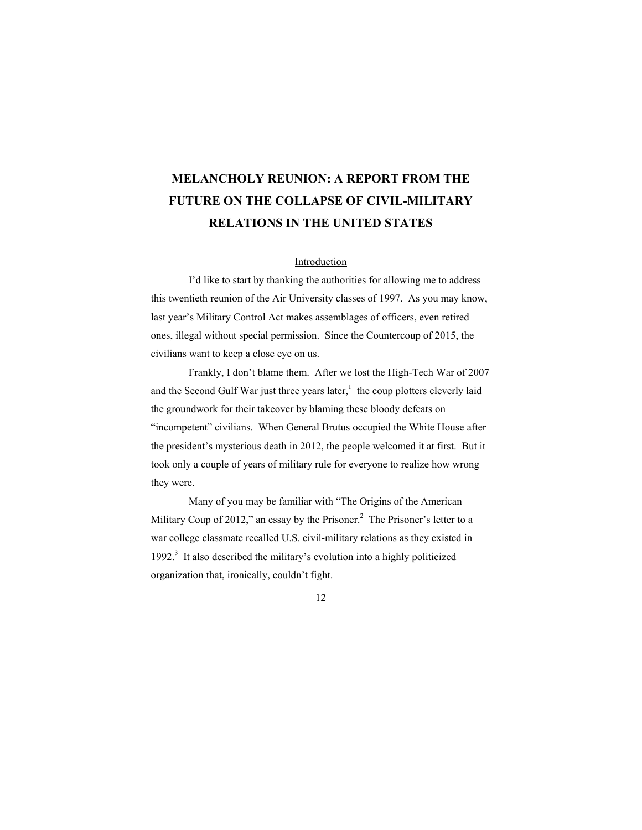# **MELANCHOLY REUNION: A REPORT FROM THE FUTURE ON THE COLLAPSE OF CIVIL-MILITARY RELATIONS IN THE UNITED STATES**

### Introduction

 I'd like to start by thanking the authorities for allowing me to address this twentieth reunion of the Air University classes of 1997. As you may know, last year's Military Control Act makes assemblages of officers, even retired ones, illegal without special permission. Since the Countercoup of 2015, the civilians want to keep a close eye on us.

 Frankly, I don't blame them. After we lost the High-Tech War of 2007 and the Second Gulf War just three years later, $<sup>1</sup>$  the coup plotters cleverly laid</sup> the groundwork for their takeover by blaming these bloody defeats on "incompetent" civilians. When General Brutus occupied the White House after the president's mysterious death in 2012, the people welcomed it at first. But it took only a couple of years of military rule for everyone to realize how wrong they were.

 Many of you may be familiar with "The Origins of the American Military Coup of 2012," an essay by the Prisoner.<sup>2</sup> The Prisoner's letter to a war college classmate recalled U.S. civil-military relations as they existed in 1992.<sup>3</sup> It also described the military's evolution into a highly politicized organization that, ironically, couldn't fight.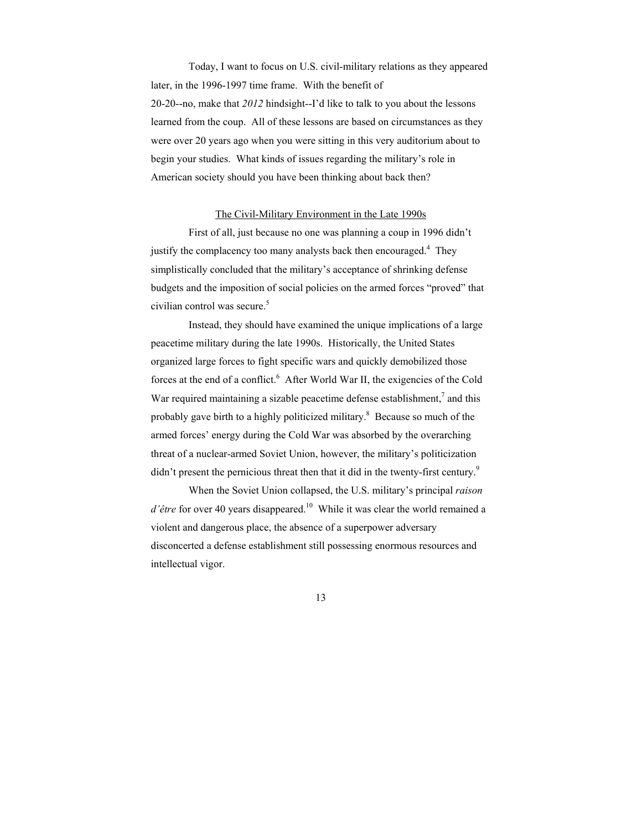Today, I want to focus on U.S. civil-military relations as they appeared later, in the 1996-1997 time frame. With the benefit of 20-20--no, make that *2012* hindsight--I'd like to talk to you about the lessons learned from the coup. All of these lessons are based on circumstances as they were over 20 years ago when you were sitting in this very auditorium about to begin your studies. What kinds of issues regarding the military's role in American society should you have been thinking about back then?

#### The Civil-Military Environment in the Late 1990s

 First of all, just because no one was planning a coup in 1996 didn't justify the complacency too many analysts back then encouraged.<sup>4</sup> They simplistically concluded that the military's acceptance of shrinking defense budgets and the imposition of social policies on the armed forces "proved" that civilian control was secure.<sup>5</sup>

 Instead, they should have examined the unique implications of a large peacetime military during the late 1990s. Historically, the United States organized large forces to fight specific wars and quickly demobilized those forces at the end of a conflict.<sup>6</sup> After World War II, the exigencies of the Cold War required maintaining a sizable peacetime defense establishment, $^7$  and this probably gave birth to a highly politicized military.<sup>8</sup> Because so much of the armed forces' energy during the Cold War was absorbed by the overarching threat of a nuclear-armed Soviet Union, however, the military's politicization didn't present the pernicious threat then that it did in the twenty-first century.<sup>9</sup>

 When the Soviet Union collapsed, the U.S. military's principal *raison d'être* for over 40 years disappeared.<sup>10</sup> While it was clear the world remained a violent and dangerous place, the absence of a superpower adversary disconcerted a defense establishment still possessing enormous resources and intellectual vigor.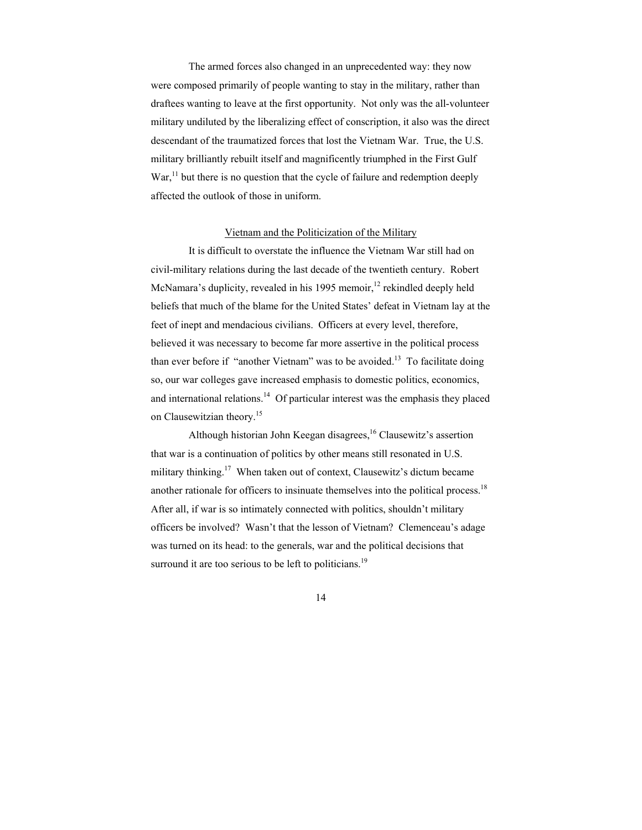The armed forces also changed in an unprecedented way: they now were composed primarily of people wanting to stay in the military, rather than draftees wanting to leave at the first opportunity. Not only was the all-volunteer military undiluted by the liberalizing effect of conscription, it also was the direct descendant of the traumatized forces that lost the Vietnam War. True, the U.S. military brilliantly rebuilt itself and magnificently triumphed in the First Gulf  $\text{War},^{11}$  but there is no question that the cycle of failure and redemption deeply affected the outlook of those in uniform.

#### Vietnam and the Politicization of the Military

 It is difficult to overstate the influence the Vietnam War still had on civil-military relations during the last decade of the twentieth century. Robert McNamara's duplicity, revealed in his 1995 memoir, $^{12}$  rekindled deeply held beliefs that much of the blame for the United States' defeat in Vietnam lay at the feet of inept and mendacious civilians. Officers at every level, therefore, believed it was necessary to become far more assertive in the political process than ever before if "another Vietnam" was to be avoided.<sup>13</sup> To facilitate doing so, our war colleges gave increased emphasis to domestic politics, economics, and international relations.<sup>14</sup> Of particular interest was the emphasis they placed on Clausewitzian theory.<sup>15</sup>

Although historian John Keegan disagrees,<sup>16</sup> Clausewitz's assertion that war is a continuation of politics by other means still resonated in U.S. military thinking.<sup>17</sup> When taken out of context, Clausewitz's dictum became another rationale for officers to insinuate themselves into the political process.18 After all, if war is so intimately connected with politics, shouldn't military officers be involved? Wasn't that the lesson of Vietnam? Clemenceau's adage was turned on its head: to the generals, war and the political decisions that surround it are too serious to be left to politicians.<sup>19</sup>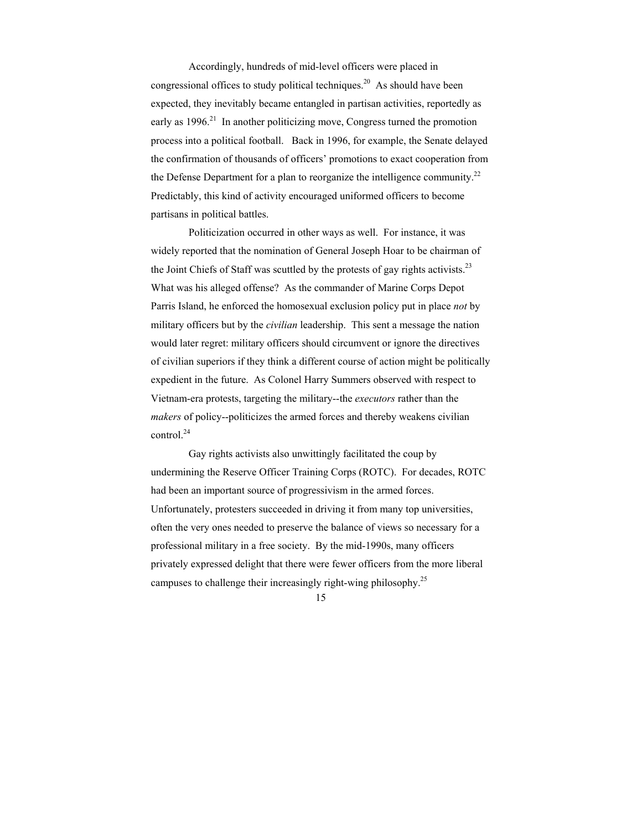Accordingly, hundreds of mid-level officers were placed in congressional offices to study political techniques.<sup>20</sup> As should have been expected, they inevitably became entangled in partisan activities, reportedly as early as  $1996<sup>21</sup>$  In another politicizing move, Congress turned the promotion process into a political football. Back in 1996, for example, the Senate delayed the confirmation of thousands of officers' promotions to exact cooperation from the Defense Department for a plan to reorganize the intelligence community.<sup>22</sup> Predictably, this kind of activity encouraged uniformed officers to become partisans in political battles.

 Politicization occurred in other ways as well. For instance, it was widely reported that the nomination of General Joseph Hoar to be chairman of the Joint Chiefs of Staff was scuttled by the protests of gay rights activists.<sup>23</sup> What was his alleged offense? As the commander of Marine Corps Depot Parris Island, he enforced the homosexual exclusion policy put in place *not* by military officers but by the *civilian* leadership. This sent a message the nation would later regret: military officers should circumvent or ignore the directives of civilian superiors if they think a different course of action might be politically expedient in the future. As Colonel Harry Summers observed with respect to Vietnam-era protests, targeting the military--the *executors* rather than the *makers* of policy--politicizes the armed forces and thereby weakens civilian control.<sup>24</sup>

 Gay rights activists also unwittingly facilitated the coup by undermining the Reserve Officer Training Corps (ROTC). For decades, ROTC had been an important source of progressivism in the armed forces. Unfortunately, protesters succeeded in driving it from many top universities, often the very ones needed to preserve the balance of views so necessary for a professional military in a free society. By the mid-1990s, many officers privately expressed delight that there were fewer officers from the more liberal campuses to challenge their increasingly right-wing philosophy.<sup>25</sup>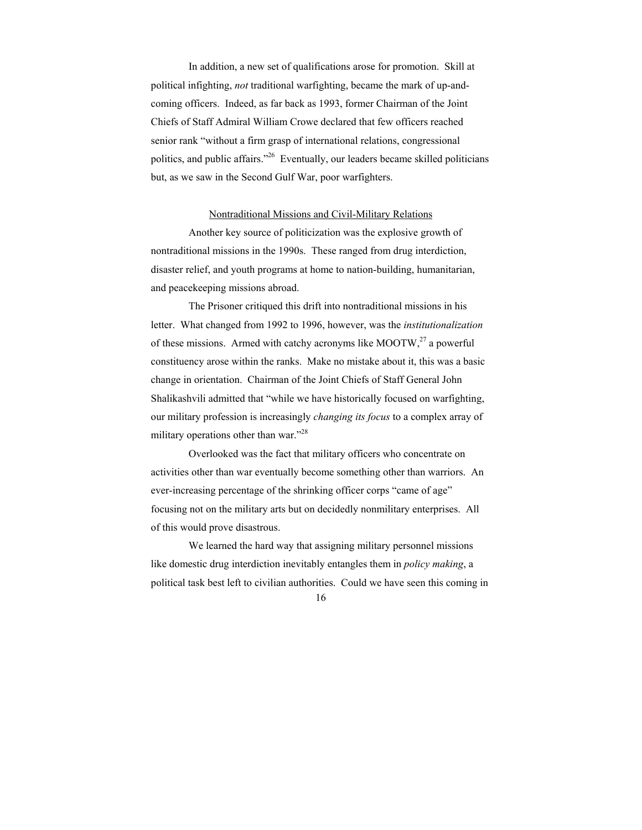In addition, a new set of qualifications arose for promotion. Skill at political infighting, *not* traditional warfighting, became the mark of up-andcoming officers. Indeed, as far back as 1993, former Chairman of the Joint Chiefs of Staff Admiral William Crowe declared that few officers reached senior rank "without a firm grasp of international relations, congressional politics, and public affairs."26 Eventually, our leaders became skilled politicians but, as we saw in the Second Gulf War, poor warfighters.

#### Nontraditional Missions and Civil-Military Relations

 Another key source of politicization was the explosive growth of nontraditional missions in the 1990s. These ranged from drug interdiction, disaster relief, and youth programs at home to nation-building, humanitarian, and peacekeeping missions abroad.

 The Prisoner critiqued this drift into nontraditional missions in his letter. What changed from 1992 to 1996, however, was the *institutionalization* of these missions. Armed with catchy acronyms like MOOTW, $^{27}$  a powerful constituency arose within the ranks. Make no mistake about it, this was a basic change in orientation. Chairman of the Joint Chiefs of Staff General John Shalikashvili admitted that "while we have historically focused on warfighting, our military profession is increasingly *changing its focus* to a complex array of military operations other than war."<sup>28</sup>

 Overlooked was the fact that military officers who concentrate on activities other than war eventually become something other than warriors. An ever-increasing percentage of the shrinking officer corps "came of age" focusing not on the military arts but on decidedly nonmilitary enterprises. All of this would prove disastrous.

 We learned the hard way that assigning military personnel missions like domestic drug interdiction inevitably entangles them in *policy making*, a political task best left to civilian authorities. Could we have seen this coming in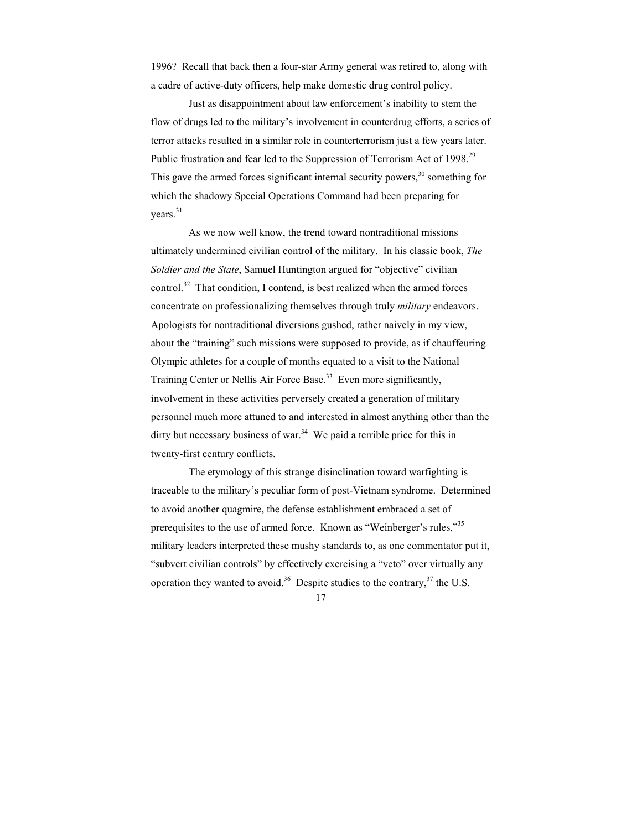1996? Recall that back then a four-star Army general was retired to, along with a cadre of active-duty officers, help make domestic drug control policy.

 Just as disappointment about law enforcement's inability to stem the flow of drugs led to the military's involvement in counterdrug efforts, a series of terror attacks resulted in a similar role in counterterrorism just a few years later. Public frustration and fear led to the Suppression of Terrorism Act of 1998.<sup>29</sup> This gave the armed forces significant internal security powers,  $30$  something for which the shadowy Special Operations Command had been preparing for years.<sup>31</sup>

 As we now well know, the trend toward nontraditional missions ultimately undermined civilian control of the military. In his classic book, *The Soldier and the State*, Samuel Huntington argued for "objective" civilian control.<sup>32</sup> That condition, I contend, is best realized when the armed forces concentrate on professionalizing themselves through truly *military* endeavors. Apologists for nontraditional diversions gushed, rather naively in my view, about the "training" such missions were supposed to provide, as if chauffeuring Olympic athletes for a couple of months equated to a visit to the National Training Center or Nellis Air Force Base.<sup>33</sup> Even more significantly, involvement in these activities perversely created a generation of military personnel much more attuned to and interested in almost anything other than the dirty but necessary business of war.<sup>34</sup> We paid a terrible price for this in twenty-first century conflicts.

 The etymology of this strange disinclination toward warfighting is traceable to the military's peculiar form of post-Vietnam syndrome. Determined to avoid another quagmire, the defense establishment embraced a set of prerequisites to the use of armed force. Known as "Weinberger's rules,"<sup>35</sup> military leaders interpreted these mushy standards to, as one commentator put it, "subvert civilian controls" by effectively exercising a "veto" over virtually any operation they wanted to avoid.<sup>36</sup> Despite studies to the contrary,<sup>37</sup> the U.S.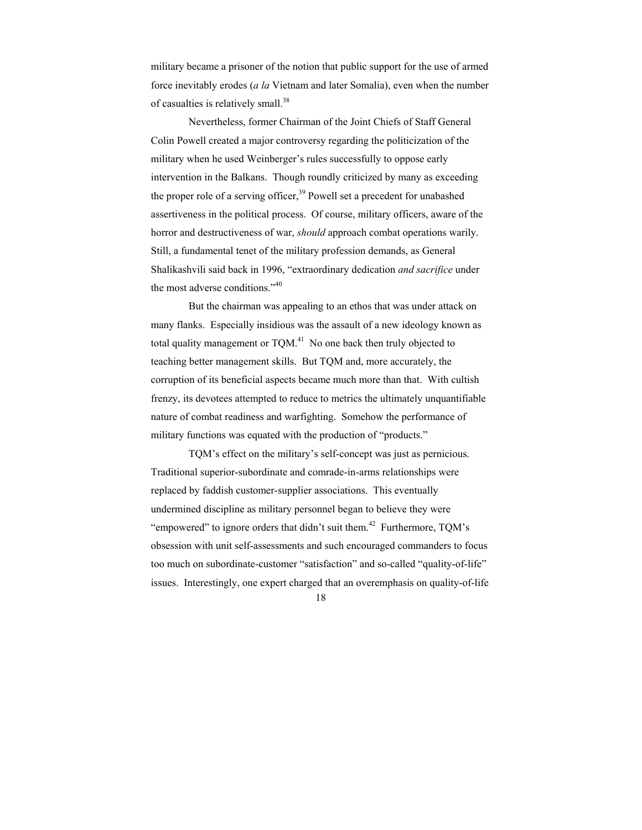military became a prisoner of the notion that public support for the use of armed force inevitably erodes (*a la* Vietnam and later Somalia), even when the number of casualties is relatively small.<sup>38</sup>

 Nevertheless, former Chairman of the Joint Chiefs of Staff General Colin Powell created a major controversy regarding the politicization of the military when he used Weinberger's rules successfully to oppose early intervention in the Balkans. Though roundly criticized by many as exceeding the proper role of a serving officer,<sup>39</sup> Powell set a precedent for unabashed assertiveness in the political process. Of course, military officers, aware of the horror and destructiveness of war, *should* approach combat operations warily. Still, a fundamental tenet of the military profession demands, as General Shalikashvili said back in 1996, "extraordinary dedication *and sacrifice* under the most adverse conditions."<sup>40</sup>

 But the chairman was appealing to an ethos that was under attack on many flanks. Especially insidious was the assault of a new ideology known as total quality management or  $TQM<sup>41</sup>$ . No one back then truly objected to teaching better management skills. But TQM and, more accurately, the corruption of its beneficial aspects became much more than that. With cultish frenzy, its devotees attempted to reduce to metrics the ultimately unquantifiable nature of combat readiness and warfighting. Somehow the performance of military functions was equated with the production of "products."

 TQM's effect on the military's self-concept was just as pernicious. Traditional superior-subordinate and comrade-in-arms relationships were replaced by faddish customer-supplier associations. This eventually undermined discipline as military personnel began to believe they were "empowered" to ignore orders that didn't suit them.<sup>42</sup> Furthermore,  $TQM$ 's obsession with unit self-assessments and such encouraged commanders to focus too much on subordinate-customer "satisfaction" and so-called "quality-of-life" issues. Interestingly, one expert charged that an overemphasis on quality-of-life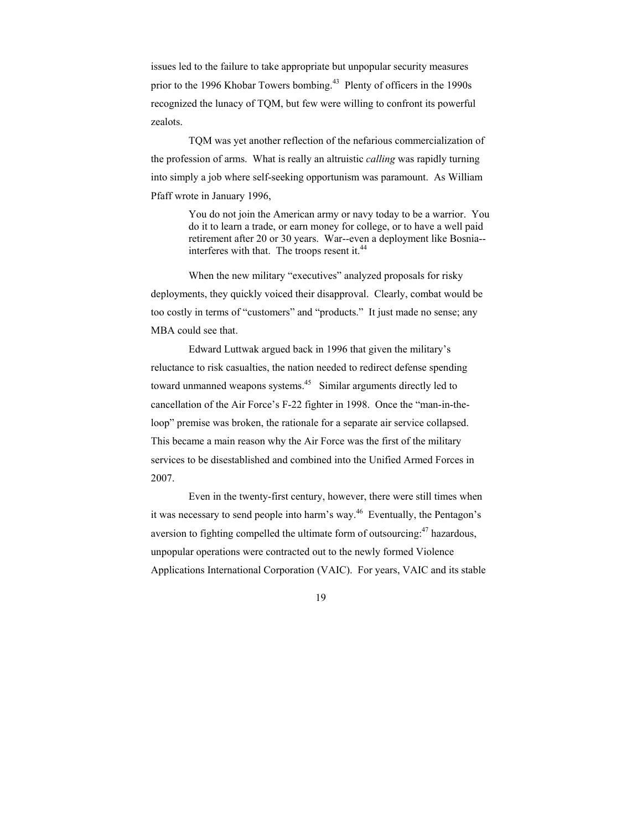issues led to the failure to take appropriate but unpopular security measures prior to the 1996 Khobar Towers bombing.<sup>43</sup> Plenty of officers in the 1990s recognized the lunacy of TQM, but few were willing to confront its powerful zealots.

 TQM was yet another reflection of the nefarious commercialization of the profession of arms. What is really an altruistic *calling* was rapidly turning into simply a job where self-seeking opportunism was paramount. As William Pfaff wrote in January 1996,

> You do not join the American army or navy today to be a warrior. You do it to learn a trade, or earn money for college, or to have a well paid retirement after 20 or 30 years. War--even a deployment like Bosnia- interferes with that. The troops resent it.<sup>44</sup>

 When the new military "executives" analyzed proposals for risky deployments, they quickly voiced their disapproval. Clearly, combat would be too costly in terms of "customers" and "products." It just made no sense; any MBA could see that.

 Edward Luttwak argued back in 1996 that given the military's reluctance to risk casualties, the nation needed to redirect defense spending toward unmanned weapons systems.<sup>45</sup> Similar arguments directly led to cancellation of the Air Force's F-22 fighter in 1998. Once the "man-in-theloop" premise was broken, the rationale for a separate air service collapsed. This became a main reason why the Air Force was the first of the military services to be disestablished and combined into the Unified Armed Forces in 2007.

 Even in the twenty-first century, however, there were still times when it was necessary to send people into harm's way.<sup>46</sup> Eventually, the Pentagon's aversion to fighting compelled the ultimate form of outsourcing: $47$  hazardous, unpopular operations were contracted out to the newly formed Violence Applications International Corporation (VAIC). For years, VAIC and its stable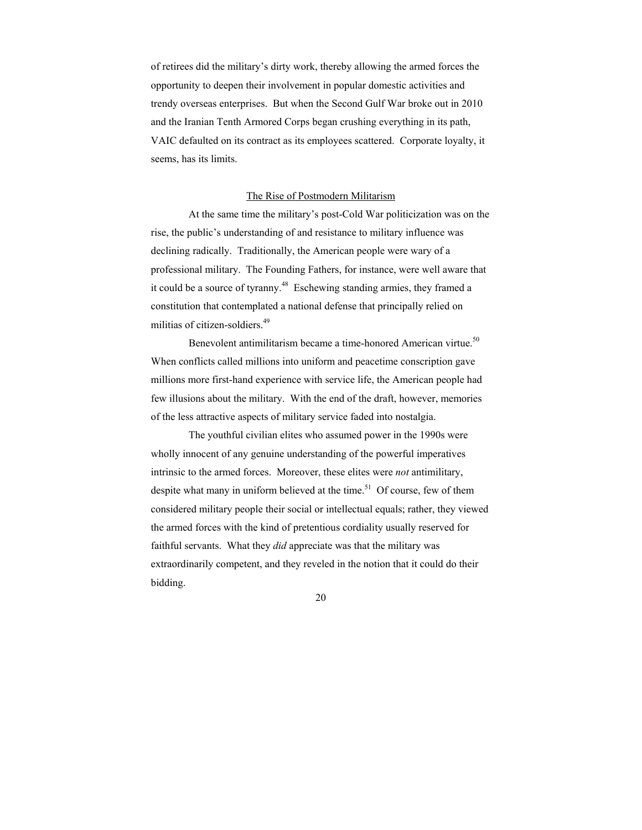of retirees did the military's dirty work, thereby allowing the armed forces the opportunity to deepen their involvement in popular domestic activities and trendy overseas enterprises. But when the Second Gulf War broke out in 2010 and the Iranian Tenth Armored Corps began crushing everything in its path, VAIC defaulted on its contract as its employees scattered. Corporate loyalty, it seems, has its limits.

#### The Rise of Postmodern Militarism

 At the same time the military's post-Cold War politicization was on the rise, the public's understanding of and resistance to military influence was declining radically. Traditionally, the American people were wary of a professional military. The Founding Fathers, for instance, were well aware that it could be a source of tyranny.<sup>48</sup> Eschewing standing armies, they framed a constitution that contemplated a national defense that principally relied on militias of citizen-soldiers.<sup>49</sup>

Benevolent antimilitarism became a time-honored American virtue.<sup>50</sup> When conflicts called millions into uniform and peacetime conscription gave millions more first-hand experience with service life, the American people had few illusions about the military. With the end of the draft, however, memories of the less attractive aspects of military service faded into nostalgia.

 The youthful civilian elites who assumed power in the 1990s were wholly innocent of any genuine understanding of the powerful imperatives intrinsic to the armed forces. Moreover, these elites were *not* antimilitary, despite what many in uniform believed at the time.<sup>51</sup> Of course, few of them considered military people their social or intellectual equals; rather, they viewed the armed forces with the kind of pretentious cordiality usually reserved for faithful servants. What they *did* appreciate was that the military was extraordinarily competent, and they reveled in the notion that it could do their bidding.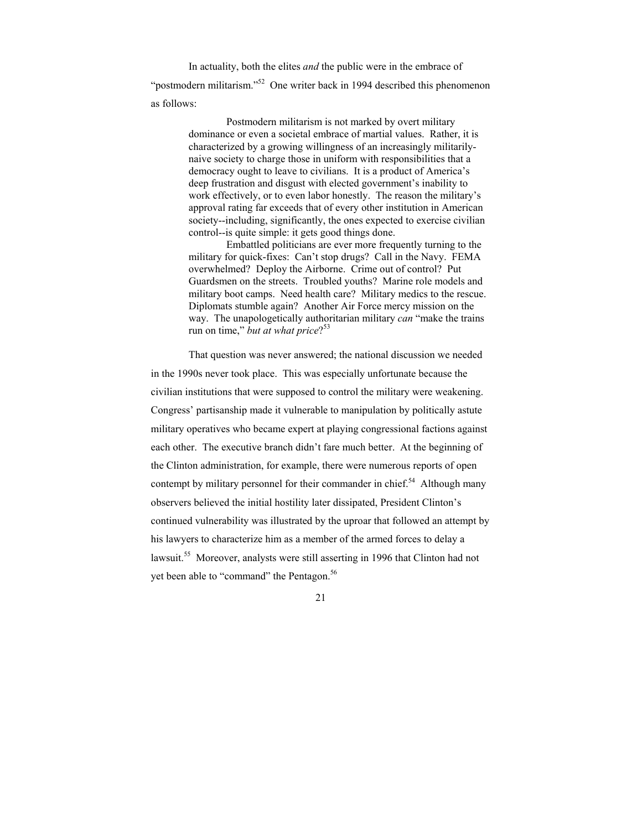In actuality, both the elites *and* the public were in the embrace of

"postmodern militarism."<sup>52</sup> One writer back in 1994 described this phenomenon as follows:

> Postmodern militarism is not marked by overt military dominance or even a societal embrace of martial values. Rather, it is characterized by a growing willingness of an increasingly militarilynaive society to charge those in uniform with responsibilities that a democracy ought to leave to civilians. It is a product of America's deep frustration and disgust with elected government's inability to work effectively, or to even labor honestly. The reason the military's approval rating far exceeds that of every other institution in American society--including, significantly, the ones expected to exercise civilian control--is quite simple: it gets good things done.

> Embattled politicians are ever more frequently turning to the military for quick-fixes: Can't stop drugs? Call in the Navy. FEMA overwhelmed? Deploy the Airborne. Crime out of control? Put Guardsmen on the streets. Troubled youths? Marine role models and military boot camps. Need health care? Military medics to the rescue. Diplomats stumble again? Another Air Force mercy mission on the way. The unapologetically authoritarian military *can* "make the trains run on time," *but at what price*?<sup>53</sup>

 That question was never answered; the national discussion we needed in the 1990s never took place. This was especially unfortunate because the civilian institutions that were supposed to control the military were weakening. Congress' partisanship made it vulnerable to manipulation by politically astute military operatives who became expert at playing congressional factions against each other. The executive branch didn't fare much better. At the beginning of the Clinton administration, for example, there were numerous reports of open contempt by military personnel for their commander in chief.<sup>54</sup> Although many observers believed the initial hostility later dissipated, President Clinton's continued vulnerability was illustrated by the uproar that followed an attempt by his lawyers to characterize him as a member of the armed forces to delay a lawsuit.55 Moreover, analysts were still asserting in 1996 that Clinton had not yet been able to "command" the Pentagon.<sup>56</sup>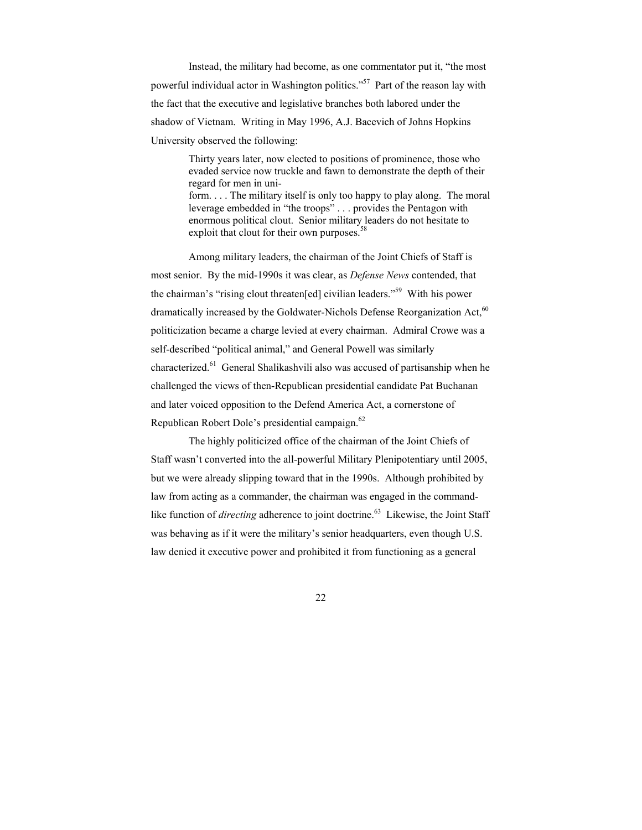Instead, the military had become, as one commentator put it, "the most powerful individual actor in Washington politics."57 Part of the reason lay with the fact that the executive and legislative branches both labored under the shadow of Vietnam. Writing in May 1996, A.J. Bacevich of Johns Hopkins University observed the following:

> Thirty years later, now elected to positions of prominence, those who evaded service now truckle and fawn to demonstrate the depth of their regard for men in uniform. . . . The military itself is only too happy to play along. The moral leverage embedded in "the troops" . . . provides the Pentagon with enormous political clout. Senior military leaders do not hesitate to exploit that clout for their own purposes.<sup>5</sup>

 Among military leaders, the chairman of the Joint Chiefs of Staff is most senior. By the mid-1990s it was clear, as *Defense News* contended, that the chairman's "rising clout threaten[ed] civilian leaders."59 With his power dramatically increased by the Goldwater-Nichols Defense Reorganization Act,<sup>60</sup> politicization became a charge levied at every chairman. Admiral Crowe was a self-described "political animal," and General Powell was similarly characterized.<sup>61</sup> General Shalikashvili also was accused of partisanship when he challenged the views of then-Republican presidential candidate Pat Buchanan and later voiced opposition to the Defend America Act, a cornerstone of Republican Robert Dole's presidential campaign.<sup>62</sup>

 The highly politicized office of the chairman of the Joint Chiefs of Staff wasn't converted into the all-powerful Military Plenipotentiary until 2005, but we were already slipping toward that in the 1990s. Although prohibited by law from acting as a commander, the chairman was engaged in the commandlike function of *directing* adherence to joint doctrine.<sup>63</sup> Likewise, the Joint Staff was behaving as if it were the military's senior headquarters, even though U.S. law denied it executive power and prohibited it from functioning as a general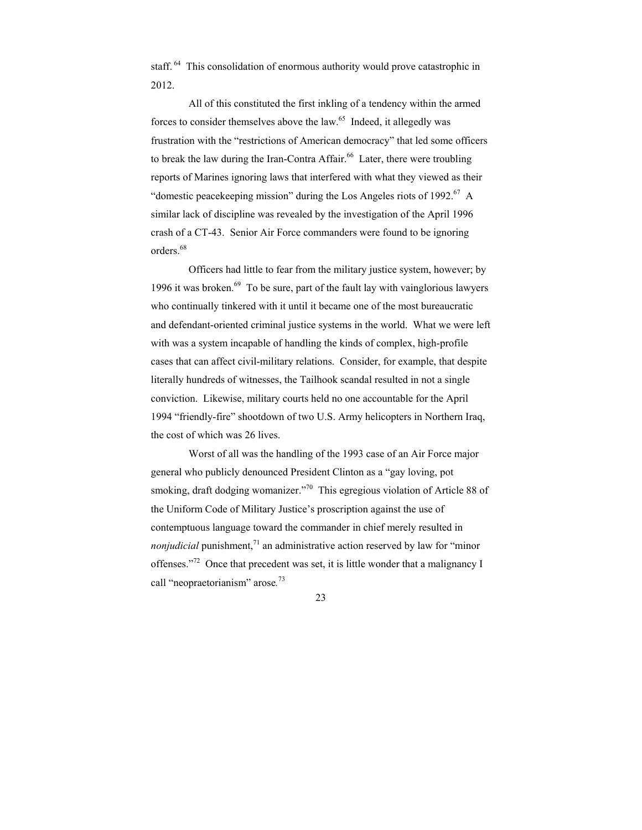staff. <sup>64</sup> This consolidation of enormous authority would prove catastrophic in 2012.

 All of this constituted the first inkling of a tendency within the armed forces to consider themselves above the law.<sup>65</sup> Indeed, it allegedly was frustration with the "restrictions of American democracy" that led some officers to break the law during the Iran-Contra Affair.<sup>66</sup> Later, there were troubling reports of Marines ignoring laws that interfered with what they viewed as their "domestic peacekeeping mission" during the Los Angeles riots of 1992.<sup>67</sup> A similar lack of discipline was revealed by the investigation of the April 1996 crash of a CT-43. Senior Air Force commanders were found to be ignoring orders.<sup>68</sup>

 Officers had little to fear from the military justice system, however; by 1996 it was broken. $69$  To be sure, part of the fault lay with vainglorious lawyers who continually tinkered with it until it became one of the most bureaucratic and defendant-oriented criminal justice systems in the world. What we were left with was a system incapable of handling the kinds of complex, high-profile cases that can affect civil-military relations. Consider, for example, that despite literally hundreds of witnesses, the Tailhook scandal resulted in not a single conviction. Likewise, military courts held no one accountable for the April 1994 "friendly-fire" shootdown of two U.S. Army helicopters in Northern Iraq, the cost of which was 26 lives.

 Worst of all was the handling of the 1993 case of an Air Force major general who publicly denounced President Clinton as a "gay loving, pot smoking, draft dodging womanizer."<sup>70</sup> This egregious violation of Article 88 of the Uniform Code of Military Justice's proscription against the use of contemptuous language toward the commander in chief merely resulted in *nonjudicial* punishment,<sup> $71$ </sup> an administrative action reserved by law for "minor" offenses."72 Once that precedent was set, it is little wonder that a malignancy I call "neopraetorianism" arose*.* 73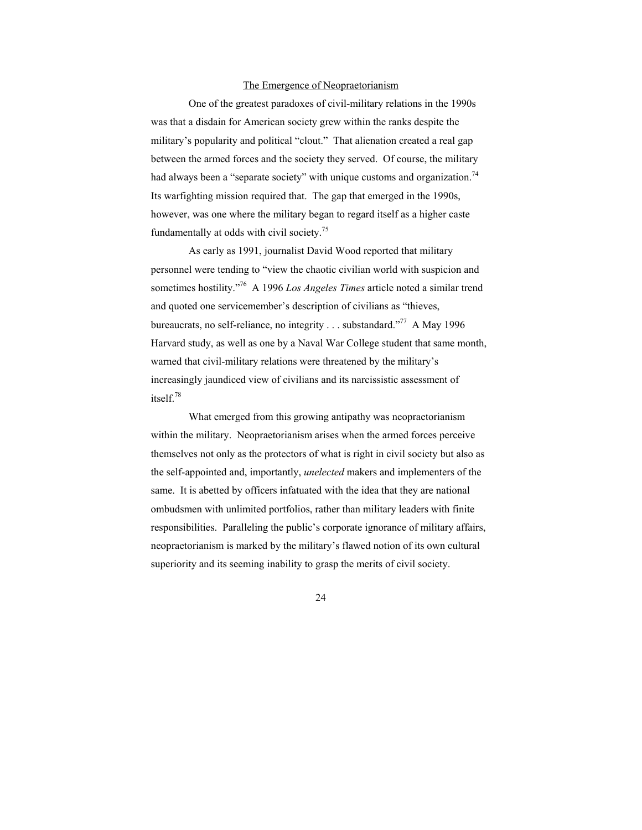#### The Emergence of Neopraetorianism

 One of the greatest paradoxes of civil-military relations in the 1990s was that a disdain for American society grew within the ranks despite the military's popularity and political "clout." That alienation created a real gap between the armed forces and the society they served. Of course, the military had always been a "separate society" with unique customs and organization.<sup>74</sup> Its warfighting mission required that. The gap that emerged in the 1990s, however, was one where the military began to regard itself as a higher caste fundamentally at odds with civil society.<sup>75</sup>

 As early as 1991, journalist David Wood reported that military personnel were tending to "view the chaotic civilian world with suspicion and sometimes hostility."76 A 1996 *Los Angeles Times* article noted a similar trend and quoted one servicemember's description of civilians as "thieves, bureaucrats, no self-reliance, no integrity . . . substandard."<sup>77</sup> A May 1996 Harvard study, as well as one by a Naval War College student that same month, warned that civil-military relations were threatened by the military's increasingly jaundiced view of civilians and its narcissistic assessment of itself.78

 What emerged from this growing antipathy was neopraetorianism within the military. Neopraetorianism arises when the armed forces perceive themselves not only as the protectors of what is right in civil society but also as the self-appointed and, importantly, *unelected* makers and implementers of the same. It is abetted by officers infatuated with the idea that they are national ombudsmen with unlimited portfolios, rather than military leaders with finite responsibilities. Paralleling the public's corporate ignorance of military affairs, neopraetorianism is marked by the military's flawed notion of its own cultural superiority and its seeming inability to grasp the merits of civil society.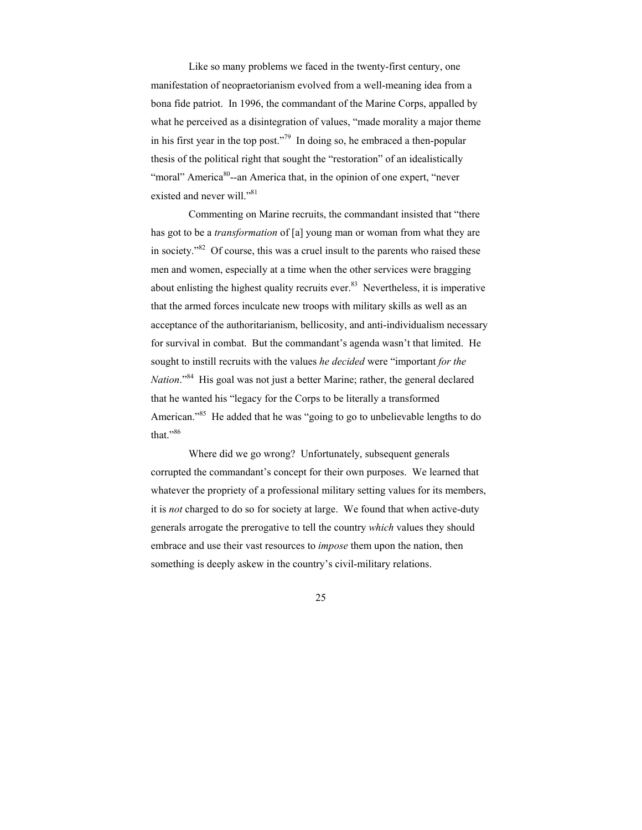Like so many problems we faced in the twenty-first century, one manifestation of neopraetorianism evolved from a well-meaning idea from a bona fide patriot. In 1996, the commandant of the Marine Corps, appalled by what he perceived as a disintegration of values, "made morality a major theme in his first year in the top post."<sup>79</sup> In doing so, he embraced a then-popular thesis of the political right that sought the "restoration" of an idealistically "moral" America<sup>80</sup>--an America that, in the opinion of one expert, "never existed and never will."<sup>81</sup>

 Commenting on Marine recruits, the commandant insisted that "there has got to be a *transformation* of [a] young man or woman from what they are in society."82 Of course, this was a cruel insult to the parents who raised these men and women, especially at a time when the other services were bragging about enlisting the highest quality recruits ever. $83$  Nevertheless, it is imperative that the armed forces inculcate new troops with military skills as well as an acceptance of the authoritarianism, bellicosity, and anti-individualism necessary for survival in combat. But the commandant's agenda wasn't that limited. He sought to instill recruits with the values *he decided* were "important *for the Nation*."<sup>84</sup> His goal was not just a better Marine; rather, the general declared that he wanted his "legacy for the Corps to be literally a transformed American."<sup>85</sup> He added that he was "going to go to unbelievable lengths to do that."<sup>86</sup>

 Where did we go wrong? Unfortunately, subsequent generals corrupted the commandant's concept for their own purposes. We learned that whatever the propriety of a professional military setting values for its members, it is *not* charged to do so for society at large. We found that when active-duty generals arrogate the prerogative to tell the country *which* values they should embrace and use their vast resources to *impose* them upon the nation, then something is deeply askew in the country's civil-military relations.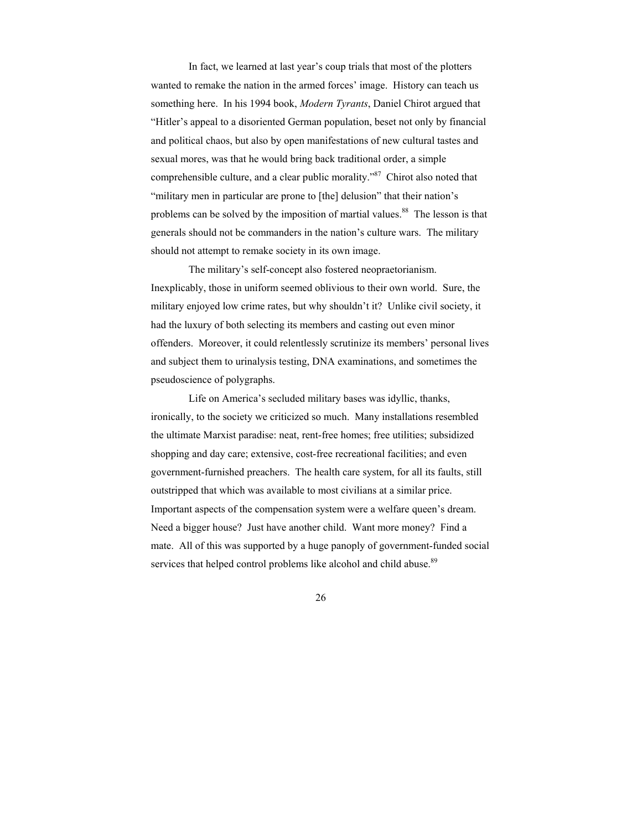In fact, we learned at last year's coup trials that most of the plotters wanted to remake the nation in the armed forces' image. History can teach us something here. In his 1994 book, *Modern Tyrants*, Daniel Chirot argued that "Hitler's appeal to a disoriented German population, beset not only by financial and political chaos, but also by open manifestations of new cultural tastes and sexual mores, was that he would bring back traditional order, a simple comprehensible culture, and a clear public morality."<sup>87</sup> Chirot also noted that "military men in particular are prone to [the] delusion" that their nation's problems can be solved by the imposition of martial values.<sup>88</sup> The lesson is that generals should not be commanders in the nation's culture wars. The military should not attempt to remake society in its own image.

 The military's self-concept also fostered neopraetorianism. Inexplicably, those in uniform seemed oblivious to their own world. Sure, the military enjoyed low crime rates, but why shouldn't it? Unlike civil society, it had the luxury of both selecting its members and casting out even minor offenders. Moreover, it could relentlessly scrutinize its members' personal lives and subject them to urinalysis testing, DNA examinations, and sometimes the pseudoscience of polygraphs.

 Life on America's secluded military bases was idyllic, thanks, ironically, to the society we criticized so much. Many installations resembled the ultimate Marxist paradise: neat, rent-free homes; free utilities; subsidized shopping and day care; extensive, cost-free recreational facilities; and even government-furnished preachers. The health care system, for all its faults, still outstripped that which was available to most civilians at a similar price. Important aspects of the compensation system were a welfare queen's dream. Need a bigger house? Just have another child. Want more money? Find a mate. All of this was supported by a huge panoply of government-funded social services that helped control problems like alcohol and child abuse.<sup>89</sup>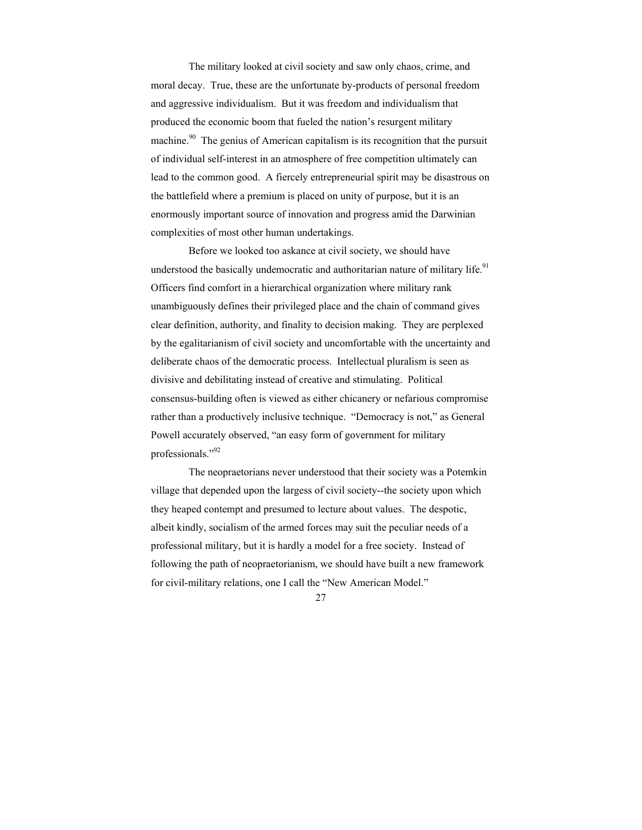The military looked at civil society and saw only chaos, crime, and moral decay. True, these are the unfortunate by-products of personal freedom and aggressive individualism. But it was freedom and individualism that produced the economic boom that fueled the nation's resurgent military machine.<sup>90</sup> The genius of American capitalism is its recognition that the pursuit of individual self-interest in an atmosphere of free competition ultimately can lead to the common good. A fiercely entrepreneurial spirit may be disastrous on the battlefield where a premium is placed on unity of purpose, but it is an enormously important source of innovation and progress amid the Darwinian complexities of most other human undertakings.

 Before we looked too askance at civil society, we should have understood the basically undemocratic and authoritarian nature of military life.<sup>91</sup> Officers find comfort in a hierarchical organization where military rank unambiguously defines their privileged place and the chain of command gives clear definition, authority, and finality to decision making. They are perplexed by the egalitarianism of civil society and uncomfortable with the uncertainty and deliberate chaos of the democratic process. Intellectual pluralism is seen as divisive and debilitating instead of creative and stimulating. Political consensus-building often is viewed as either chicanery or nefarious compromise rather than a productively inclusive technique. "Democracy is not," as General Powell accurately observed, "an easy form of government for military professionals."92

 The neopraetorians never understood that their society was a Potemkin village that depended upon the largess of civil society--the society upon which they heaped contempt and presumed to lecture about values. The despotic, albeit kindly, socialism of the armed forces may suit the peculiar needs of a professional military, but it is hardly a model for a free society. Instead of following the path of neopraetorianism, we should have built a new framework for civil-military relations, one I call the "New American Model."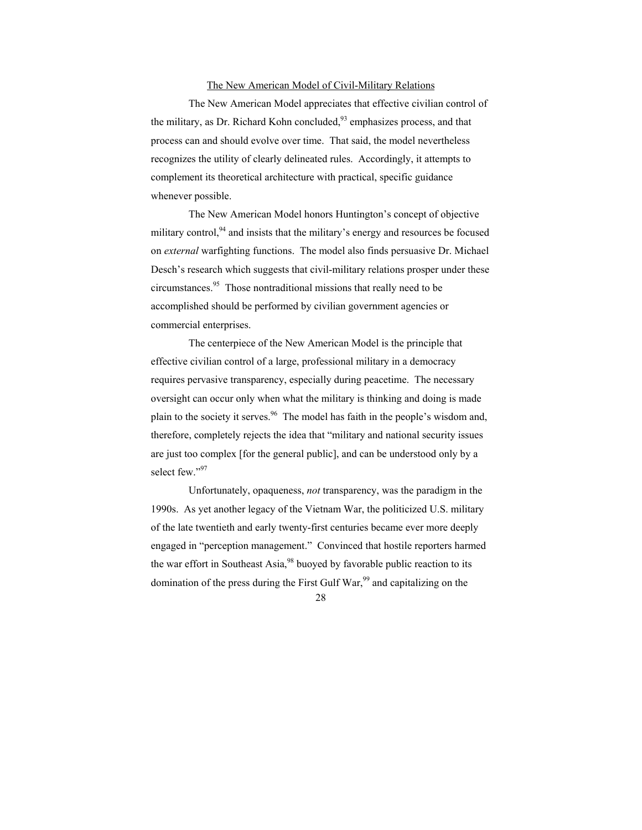### The New American Model of Civil-Military Relations

 The New American Model appreciates that effective civilian control of the military, as Dr. Richard Kohn concluded,<sup>93</sup> emphasizes process, and that process can and should evolve over time. That said, the model nevertheless recognizes the utility of clearly delineated rules. Accordingly, it attempts to complement its theoretical architecture with practical, specific guidance whenever possible.

 The New American Model honors Huntington's concept of objective military control, $94$  and insists that the military's energy and resources be focused on *external* warfighting functions. The model also finds persuasive Dr. Michael Desch's research which suggests that civil-military relations prosper under these circumstances.95 Those nontraditional missions that really need to be accomplished should be performed by civilian government agencies or commercial enterprises.

 The centerpiece of the New American Model is the principle that effective civilian control of a large, professional military in a democracy requires pervasive transparency, especially during peacetime. The necessary oversight can occur only when what the military is thinking and doing is made plain to the society it serves.<sup>96</sup> The model has faith in the people's wisdom and, therefore, completely rejects the idea that "military and national security issues are just too complex [for the general public], and can be understood only by a select few."97

 Unfortunately, opaqueness, *not* transparency, was the paradigm in the 1990s. As yet another legacy of the Vietnam War, the politicized U.S. military of the late twentieth and early twenty-first centuries became ever more deeply engaged in "perception management." Convinced that hostile reporters harmed the war effort in Southeast Asia,  $98$  buoyed by favorable public reaction to its domination of the press during the First Gulf War,<sup>99</sup> and capitalizing on the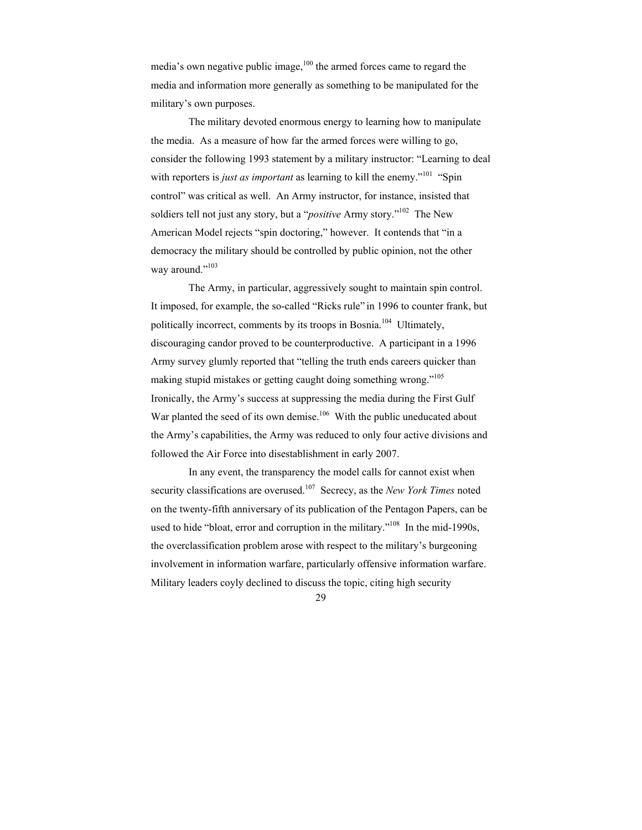media's own negative public image, $100$  the armed forces came to regard the media and information more generally as something to be manipulated for the military's own purposes.

 The military devoted enormous energy to learning how to manipulate the media. As a measure of how far the armed forces were willing to go, consider the following 1993 statement by a military instructor: "Learning to deal with reporters is *just as important* as learning to kill the enemy."<sup>101</sup> "Spin control" was critical as well. An Army instructor, for instance, insisted that soldiers tell not just any story, but a "*positive* Army story."102 The New American Model rejects "spin doctoring," however. It contends that "in a democracy the military should be controlled by public opinion, not the other way around."<sup>103</sup>

 The Army, in particular, aggressively sought to maintain spin control. It imposed, for example, the so-called "Ricks rule" in 1996 to counter frank, but politically incorrect, comments by its troops in Bosnia.104 Ultimately, discouraging candor proved to be counterproductive. A participant in a 1996 Army survey glumly reported that "telling the truth ends careers quicker than making stupid mistakes or getting caught doing something wrong."105 Ironically, the Army's success at suppressing the media during the First Gulf War planted the seed of its own demise.<sup>106</sup> With the public uneducated about the Army's capabilities, the Army was reduced to only four active divisions and followed the Air Force into disestablishment in early 2007.

 In any event, the transparency the model calls for cannot exist when security classifications are overused.<sup>107</sup> Secrecy, as the *New York Times* noted on the twenty-fifth anniversary of its publication of the Pentagon Papers, can be used to hide "bloat, error and corruption in the military."<sup>108</sup> In the mid-1990s, the overclassification problem arose with respect to the military's burgeoning involvement in information warfare, particularly offensive information warfare. Military leaders coyly declined to discuss the topic, citing high security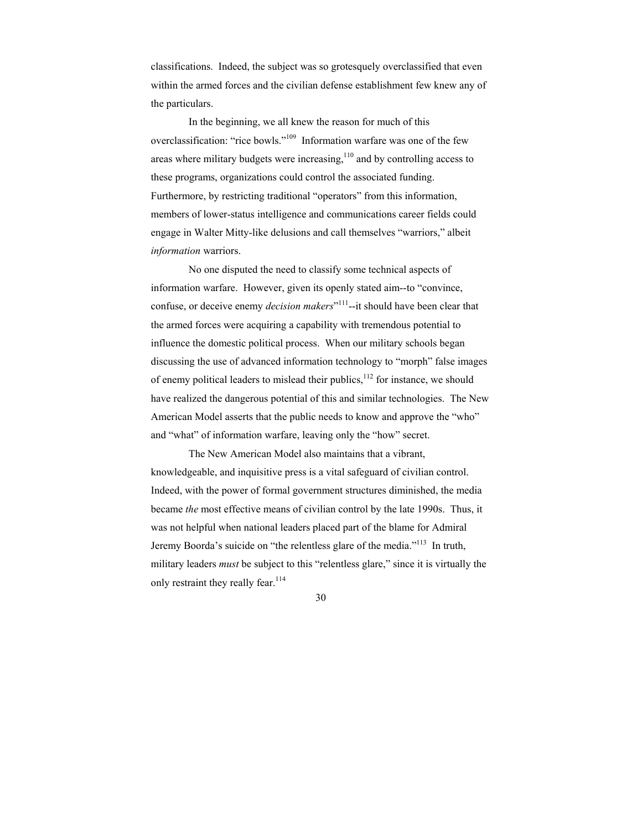classifications. Indeed, the subject was so grotesquely overclassified that even within the armed forces and the civilian defense establishment few knew any of the particulars.

 In the beginning, we all knew the reason for much of this overclassification: "rice bowls."<sup>109</sup> Information warfare was one of the few areas where military budgets were increasing, $110$  and by controlling access to these programs, organizations could control the associated funding. Furthermore, by restricting traditional "operators" from this information, members of lower-status intelligence and communications career fields could engage in Walter Mitty-like delusions and call themselves "warriors," albeit *information* warriors.

 No one disputed the need to classify some technical aspects of information warfare. However, given its openly stated aim--to "convince, confuse, or deceive enemy *decision makers*<sup>"111</sup>--it should have been clear that the armed forces were acquiring a capability with tremendous potential to influence the domestic political process. When our military schools began discussing the use of advanced information technology to "morph" false images of enemy political leaders to mislead their publics, $112$  for instance, we should have realized the dangerous potential of this and similar technologies. The New American Model asserts that the public needs to know and approve the "who" and "what" of information warfare, leaving only the "how" secret.

 The New American Model also maintains that a vibrant, knowledgeable, and inquisitive press is a vital safeguard of civilian control. Indeed, with the power of formal government structures diminished, the media became *the* most effective means of civilian control by the late 1990s. Thus, it was not helpful when national leaders placed part of the blame for Admiral Jeremy Boorda's suicide on "the relentless glare of the media."113 In truth, military leaders *must* be subject to this "relentless glare," since it is virtually the only restraint they really fear.<sup>114</sup>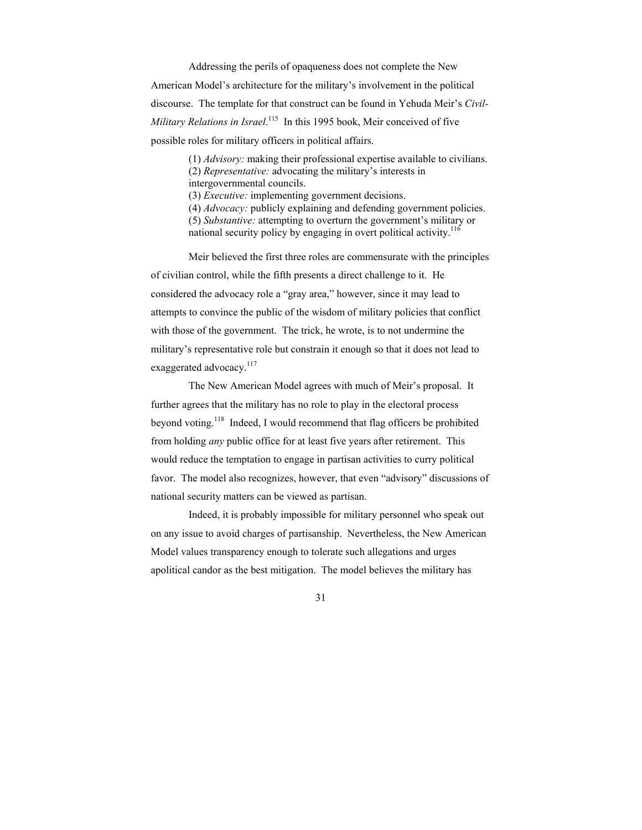Addressing the perils of opaqueness does not complete the New American Model's architecture for the military's involvement in the political discourse. The template for that construct can be found in Yehuda Meir's *Civil-*Military Relations in Israel.<sup>115</sup> In this 1995 book, Meir conceived of five possible roles for military officers in political affairs.

> (1) *Advisory:* making their professional expertise available to civilians. (2) *Representative:* advocating the military's interests in intergovernmental councils. (3) *Executive:* implementing government decisions. (4) *Advocacy:* publicly explaining and defending government policies. (5) *Substantive:* attempting to overturn the government's military or national security policy by engaging in overt political activity.<sup>116</sup>

 Meir believed the first three roles are commensurate with the principles of civilian control, while the fifth presents a direct challenge to it. He considered the advocacy role a "gray area," however, since it may lead to attempts to convince the public of the wisdom of military policies that conflict with those of the government. The trick, he wrote, is to not undermine the military's representative role but constrain it enough so that it does not lead to exaggerated advocacy.<sup>117</sup>

 The New American Model agrees with much of Meir's proposal. It further agrees that the military has no role to play in the electoral process beyond voting.118 Indeed, I would recommend that flag officers be prohibited from holding *any* public office for at least five years after retirement. This would reduce the temptation to engage in partisan activities to curry political favor. The model also recognizes, however, that even "advisory" discussions of national security matters can be viewed as partisan.

 Indeed, it is probably impossible for military personnel who speak out on any issue to avoid charges of partisanship. Nevertheless, the New American Model values transparency enough to tolerate such allegations and urges apolitical candor as the best mitigation. The model believes the military has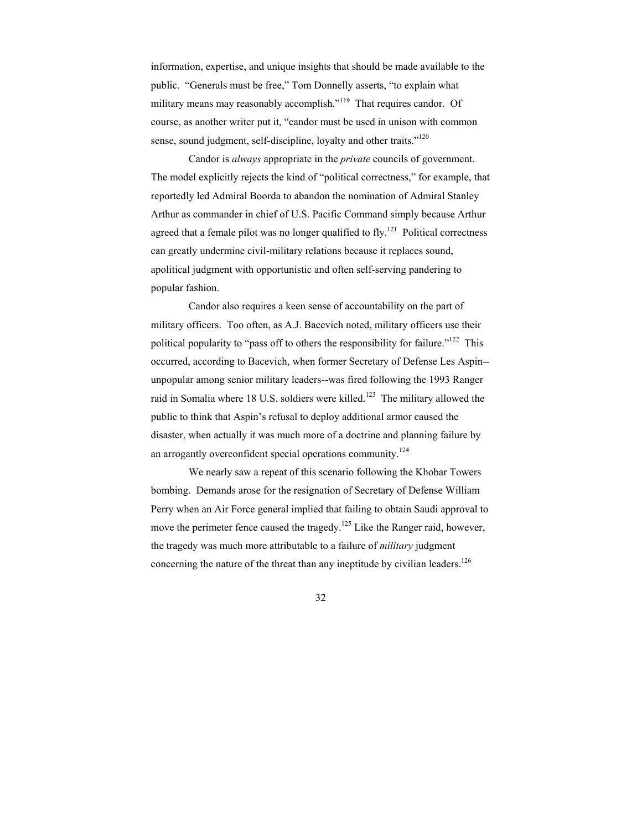information, expertise, and unique insights that should be made available to the public. "Generals must be free," Tom Donnelly asserts, "to explain what military means may reasonably accomplish."<sup>119</sup> That requires candor. Of course, as another writer put it, "candor must be used in unison with common sense, sound judgment, self-discipline, loyalty and other traits."<sup>120</sup>

 Candor is *always* appropriate in the *private* councils of government. The model explicitly rejects the kind of "political correctness," for example, that reportedly led Admiral Boorda to abandon the nomination of Admiral Stanley Arthur as commander in chief of U.S. Pacific Command simply because Arthur agreed that a female pilot was no longer qualified to fly.<sup>121</sup> Political correctness can greatly undermine civil-military relations because it replaces sound, apolitical judgment with opportunistic and often self-serving pandering to popular fashion.

 Candor also requires a keen sense of accountability on the part of military officers. Too often, as A.J. Bacevich noted, military officers use their political popularity to "pass off to others the responsibility for failure."122 This occurred, according to Bacevich, when former Secretary of Defense Les Aspin- unpopular among senior military leaders--was fired following the 1993 Ranger raid in Somalia where 18 U.S. soldiers were killed.<sup>123</sup> The military allowed the public to think that Aspin's refusal to deploy additional armor caused the disaster, when actually it was much more of a doctrine and planning failure by an arrogantly overconfident special operations community.<sup>124</sup>

 We nearly saw a repeat of this scenario following the Khobar Towers bombing. Demands arose for the resignation of Secretary of Defense William Perry when an Air Force general implied that failing to obtain Saudi approval to move the perimeter fence caused the tragedy.<sup>125</sup> Like the Ranger raid, however, the tragedy was much more attributable to a failure of *military* judgment concerning the nature of the threat than any ineptitude by civilian leaders.<sup>126</sup>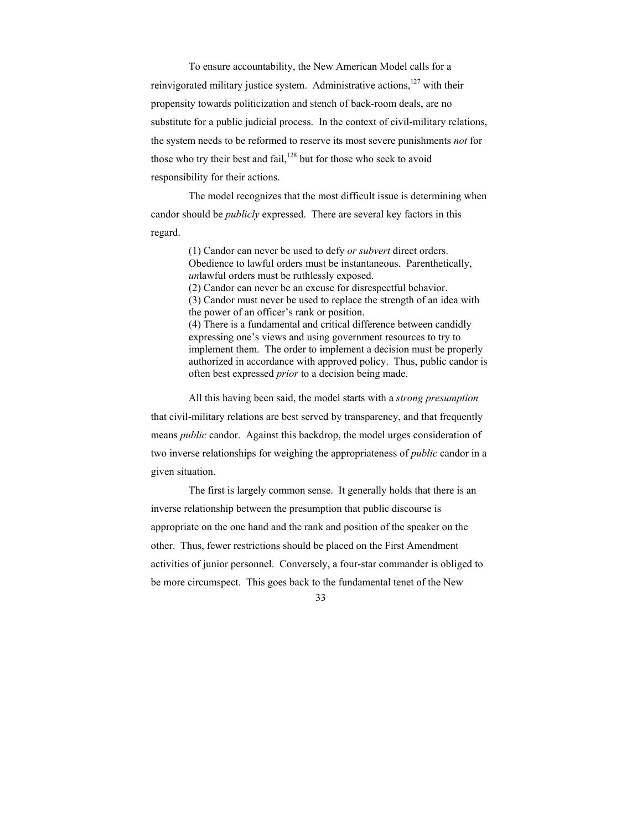To ensure accountability, the New American Model calls for a reinvigorated military justice system. Administrative actions, $127$  with their propensity towards politicization and stench of back-room deals, are no substitute for a public judicial process. In the context of civil-military relations, the system needs to be reformed to reserve its most severe punishments *not* for those who try their best and fail, $128$  but for those who seek to avoid responsibility for their actions.

 The model recognizes that the most difficult issue is determining when candor should be *publicly* expressed. There are several key factors in this regard.

> (1) Candor can never be used to defy *or subvert* direct orders. Obedience to lawful orders must be instantaneous. Parenthetically, *un*lawful orders must be ruthlessly exposed. (2) Candor can never be an excuse for disrespectful behavior. (3) Candor must never be used to replace the strength of an idea with the power of an officer's rank or position. (4) There is a fundamental and critical difference between candidly expressing one's views and using government resources to try to implement them. The order to implement a decision must be properly authorized in accordance with approved policy. Thus, public candor is often best expressed *prior* to a decision being made.

 All this having been said, the model starts with a *strong presumption* that civil-military relations are best served by transparency, and that frequently means *public* candor. Against this backdrop, the model urges consideration of two inverse relationships for weighing the appropriateness of *public* candor in a given situation.

 The first is largely common sense. It generally holds that there is an inverse relationship between the presumption that public discourse is appropriate on the one hand and the rank and position of the speaker on the other. Thus, fewer restrictions should be placed on the First Amendment activities of junior personnel. Conversely, a four-star commander is obliged to be more circumspect. This goes back to the fundamental tenet of the New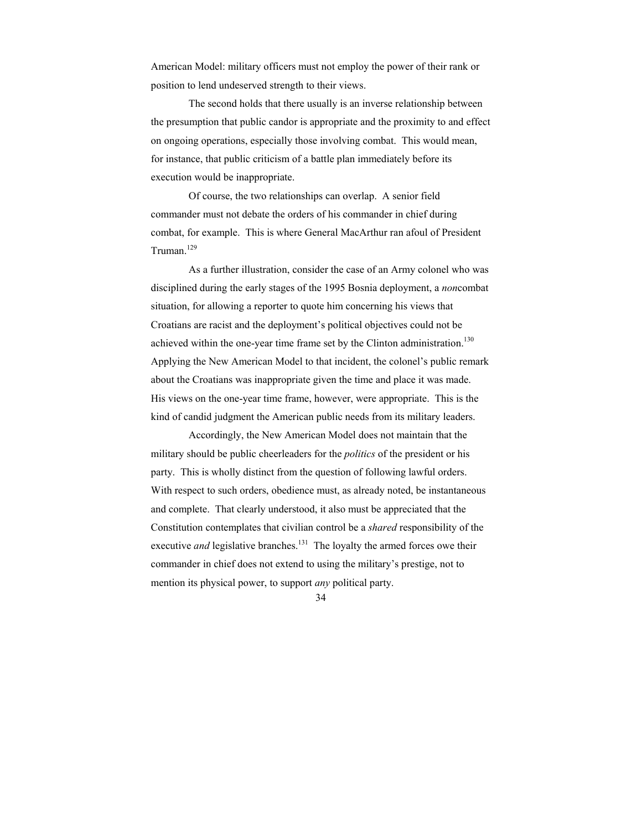American Model: military officers must not employ the power of their rank or position to lend undeserved strength to their views.

 The second holds that there usually is an inverse relationship between the presumption that public candor is appropriate and the proximity to and effect on ongoing operations, especially those involving combat. This would mean, for instance, that public criticism of a battle plan immediately before its execution would be inappropriate.

 Of course, the two relationships can overlap. A senior field commander must not debate the orders of his commander in chief during combat, for example. This is where General MacArthur ran afoul of President Truman.<sup>129</sup>

 As a further illustration, consider the case of an Army colonel who was disciplined during the early stages of the 1995 Bosnia deployment, a *non*combat situation, for allowing a reporter to quote him concerning his views that Croatians are racist and the deployment's political objectives could not be achieved within the one-year time frame set by the Clinton administration.<sup>130</sup> Applying the New American Model to that incident, the colonel's public remark about the Croatians was inappropriate given the time and place it was made. His views on the one-year time frame, however, were appropriate. This is the kind of candid judgment the American public needs from its military leaders.

 Accordingly, the New American Model does not maintain that the military should be public cheerleaders for the *politics* of the president or his party. This is wholly distinct from the question of following lawful orders. With respect to such orders, obedience must, as already noted, be instantaneous and complete. That clearly understood, it also must be appreciated that the Constitution contemplates that civilian control be a *shared* responsibility of the executive *and* legislative branches.<sup>131</sup> The loyalty the armed forces owe their commander in chief does not extend to using the military's prestige, not to mention its physical power, to support *any* political party.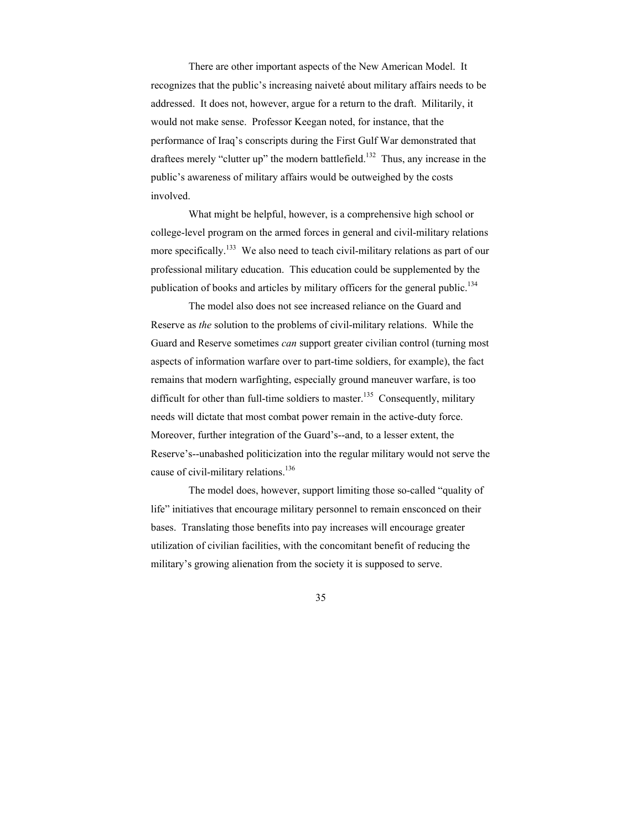There are other important aspects of the New American Model. It recognizes that the public's increasing naiveté about military affairs needs to be addressed. It does not, however, argue for a return to the draft. Militarily, it would not make sense. Professor Keegan noted, for instance, that the performance of Iraq's conscripts during the First Gulf War demonstrated that draftees merely "clutter up" the modern battlefield.<sup>132</sup> Thus, any increase in the public's awareness of military affairs would be outweighed by the costs involved.

 What might be helpful, however, is a comprehensive high school or college-level program on the armed forces in general and civil-military relations more specifically.<sup>133</sup> We also need to teach civil-military relations as part of our professional military education. This education could be supplemented by the publication of books and articles by military officers for the general public.<sup>134</sup>

 The model also does not see increased reliance on the Guard and Reserve as *the* solution to the problems of civil-military relations. While the Guard and Reserve sometimes *can* support greater civilian control (turning most aspects of information warfare over to part-time soldiers, for example), the fact remains that modern warfighting, especially ground maneuver warfare, is too difficult for other than full-time soldiers to master.<sup>135</sup> Consequently, military needs will dictate that most combat power remain in the active-duty force. Moreover, further integration of the Guard's--and, to a lesser extent, the Reserve's--unabashed politicization into the regular military would not serve the cause of civil-military relations.<sup>136</sup>

 The model does, however, support limiting those so-called "quality of life" initiatives that encourage military personnel to remain ensconced on their bases. Translating those benefits into pay increases will encourage greater utilization of civilian facilities, with the concomitant benefit of reducing the military's growing alienation from the society it is supposed to serve.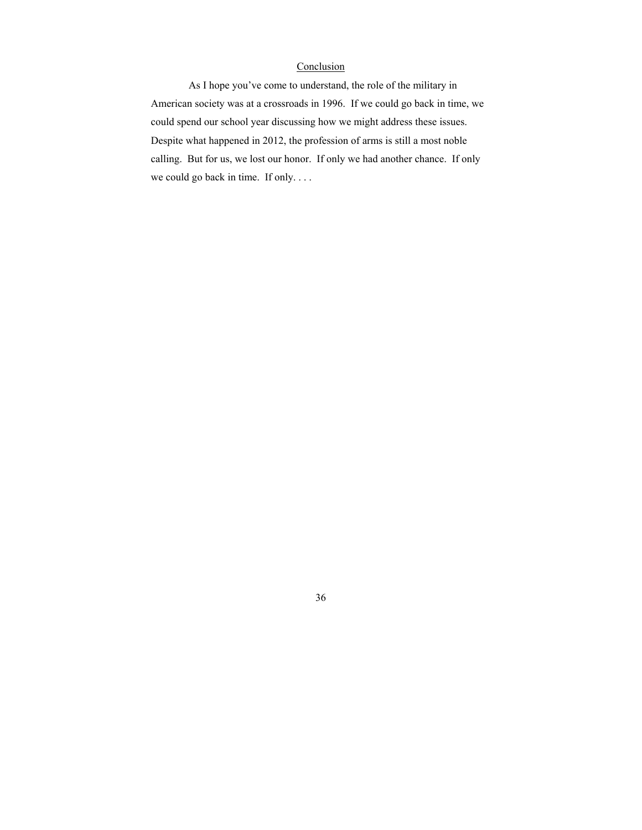### **Conclusion**

 As I hope you've come to understand, the role of the military in American society was at a crossroads in 1996. If we could go back in time, we could spend our school year discussing how we might address these issues. Despite what happened in 2012, the profession of arms is still a most noble calling. But for us, we lost our honor. If only we had another chance. If only we could go back in time. If only. . . .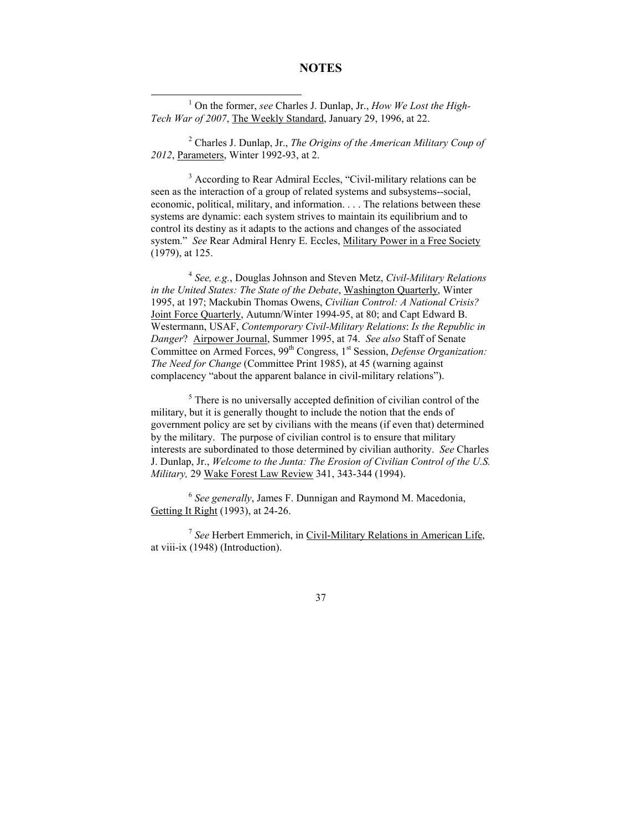# **NOTES**

<u>1</u> On the former, *see* Charles J. Dunlap, Jr., *How We Lost the High-Tech War of 2007*, The Weekly Standard, January 29, 1996, at 22.

2 Charles J. Dunlap, Jr., *The Origins of the American Military Coup of 2012*, Parameters, Winter 1992-93, at 2.

<sup>3</sup> According to Rear Admiral Eccles, "Civil-military relations can be seen as the interaction of a group of related systems and subsystems--social, economic, political, military, and information. . . . The relations between these systems are dynamic: each system strives to maintain its equilibrium and to control its destiny as it adapts to the actions and changes of the associated system." *See* Rear Admiral Henry E. Eccles, Military Power in a Free Society (1979), at 125.

4  *See, e.g.*, Douglas Johnson and Steven Metz, *Civil-Military Relations in the United States: The State of the Debate*, Washington Quarterly, Winter 1995, at 197; Mackubin Thomas Owens, *Civilian Control: A National Crisis?* Joint Force Quarterly, Autumn/Winter 1994-95, at 80; and Capt Edward B. Westermann, USAF, *Contemporary Civil-Military Relations*: *Is the Republic in Danger*? Airpower Journal, Summer 1995, at 74. *See also* Staff of Senate Committee on Armed Forces, 99<sup>th</sup> Congress, 1<sup>st</sup> Session, *Defense Organization*: *The Need for Change* (Committee Print 1985), at 45 (warning against complacency "about the apparent balance in civil-military relations").

<sup>5</sup> There is no universally accepted definition of civilian control of the military, but it is generally thought to include the notion that the ends of government policy are set by civilians with the means (if even that) determined by the military. The purpose of civilian control is to ensure that military interests are subordinated to those determined by civilian authority. *See* Charles J. Dunlap, Jr., *Welcome to the Junta: The Erosion of Civilian Control of the U.S. Military,* 29 Wake Forest Law Review 341, 343-344 (1994).

<sup>6</sup> *See generally*, James F. Dunnigan and Raymond M. Macedonia, Getting It Right (1993), at 24-26.

<sup>7</sup> *See* Herbert Emmerich, in Civil-Military Relations in American Life, at viii-ix (1948) (Introduction).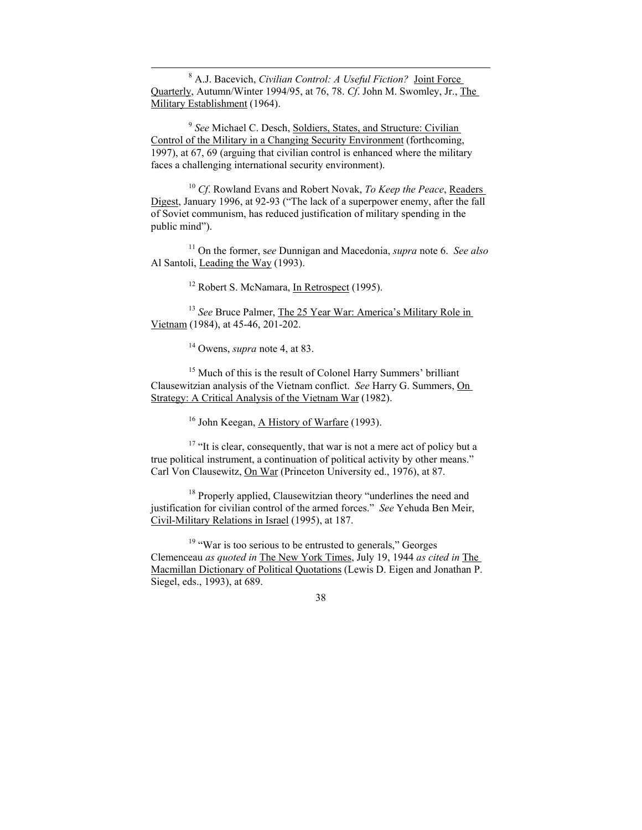8 A.J. Bacevich, *Civilian Control: A Useful Fiction?* Joint Force Quarterly, Autumn/Winter 1994/95, at 76, 78. *Cf*. John M. Swomley, Jr., The Military Establishment (1964).

<sup>9</sup> *See* Michael C. Desch, Soldiers, States, and Structure: Civilian Control of the Military in a Changing Security Environment (forthcoming, 1997), at 67, 69 (arguing that civilian control is enhanced where the military faces a challenging international security environment).

<sup>10</sup> *Cf*. Rowland Evans and Robert Novak, *To Keep the Peace*, Readers Digest, January 1996, at 92-93 ("The lack of a superpower enemy, after the fall of Soviet communism, has reduced justification of military spending in the public mind").

11 On the former, s*ee* Dunnigan and Macedonia, *supra* note 6. *See also*  Al Santoli, Leading the Way (1993).

<sup>12</sup> Robert S. McNamara, In Retrospect (1995).

<sup>13</sup> *See* Bruce Palmer, The 25 Year War: America's Military Role in Vietnam (1984), at 45-46, 201-202.

14 Owens, *supra* note 4, at 83.

<sup>15</sup> Much of this is the result of Colonel Harry Summers' brilliant Clausewitzian analysis of the Vietnam conflict. *See* Harry G. Summers, On Strategy: A Critical Analysis of the Vietnam War (1982).

<sup>16</sup> John Keegan, A History of Warfare (1993).

<sup>17</sup> "It is clear, consequently, that war is not a mere act of policy but a true political instrument, a continuation of political activity by other means." Carl Von Clausewitz, On War (Princeton University ed., 1976), at 87.

<sup>18</sup> Properly applied, Clausewitzian theory "underlines the need and justification for civilian control of the armed forces." *See* Yehuda Ben Meir, Civil-Military Relations in Israel (1995), at 187.

 $19$  "War is too serious to be entrusted to generals," Georges Clemenceau *as quoted in* The New York Times, July 19, 1944 *as cited in* The Macmillan Dictionary of Political Quotations (Lewis D. Eigen and Jonathan P. Siegel, eds., 1993), at 689.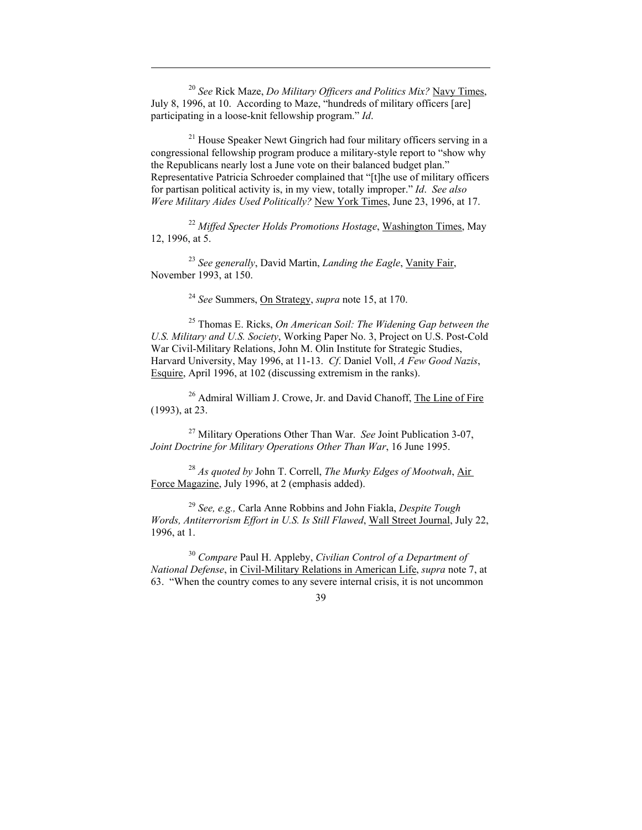<sup>20</sup> *See* Rick Maze, *Do Military Officers and Politics Mix?* Navy Times, July 8, 1996, at 10. According to Maze, "hundreds of military officers [are] participating in a loose-knit fellowship program." *Id*.

 $\overline{a}$ 

 $21$  House Speaker Newt Gingrich had four military officers serving in a congressional fellowship program produce a military-style report to "show why the Republicans nearly lost a June vote on their balanced budget plan." Representative Patricia Schroeder complained that "[t]he use of military officers for partisan political activity is, in my view, totally improper." *Id*. *See also Were Military Aides Used Politically?* New York Times, June 23, 1996, at 17.

<sup>22</sup> *Miffed Specter Holds Promotions Hostage*, Washington Times, May 12, 1996, at 5.

<sup>23</sup> *See generally*, David Martin, *Landing the Eagle*, Vanity Fair, November 1993, at 150.

<sup>24</sup> *See* Summers, On Strategy, *supra* note 15, at 170.

25 Thomas E. Ricks, *On American Soil: The Widening Gap between the U.S. Military and U.S. Society*, Working Paper No. 3, Project on U.S. Post-Cold War Civil-Military Relations, John M. Olin Institute for Strategic Studies, Harvard University, May 1996, at 11-13. *Cf*. Daniel Voll, *A Few Good Nazis*, Esquire, April 1996, at 102 (discussing extremism in the ranks).

<sup>26</sup> Admiral William J. Crowe, Jr. and David Chanoff, The Line of Fire (1993), at 23.

27 Military Operations Other Than War. *See* Joint Publication 3-07, *Joint Doctrine for Military Operations Other Than War*, 16 June 1995.

<sup>28</sup> *As quoted by* John T. Correll, *The Murky Edges of Mootwah*, Air Force Magazine, July 1996, at 2 (emphasis added).

<sup>29</sup> *See, e.g.,* Carla Anne Robbins and John Fiakla, *Despite Tough Words, Antiterrorism Effort in U.S. Is Still Flawed*, Wall Street Journal, July 22, 1996, at 1.

<sup>30</sup> *Compare* Paul H. Appleby, *Civilian Control of a Department of National Defense*, in Civil-Military Relations in American Life, *supra* note 7, at 63. "When the country comes to any severe internal crisis, it is not uncommon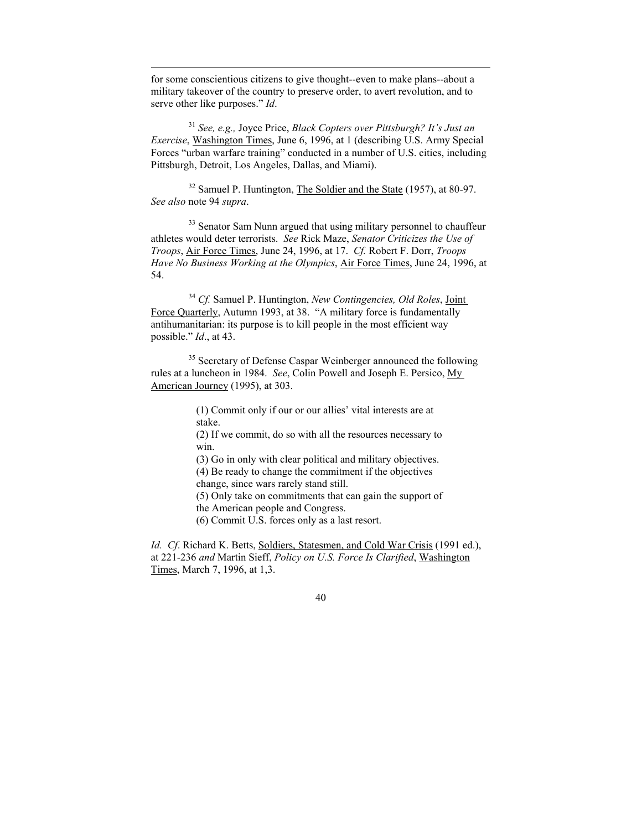for some conscientious citizens to give thought--even to make plans--about a military takeover of the country to preserve order, to avert revolution, and to serve other like purposes." *Id*.

 $\overline{a}$ 

<sup>31</sup> *See, e.g.,* Joyce Price, *Black Copters over Pittsburgh? It's Just an Exercise*, Washington Times, June 6, 1996, at 1 (describing U.S. Army Special Forces "urban warfare training" conducted in a number of U.S. cities, including Pittsburgh, Detroit, Los Angeles, Dallas, and Miami).

<sup>32</sup> Samuel P. Huntington, The Soldier and the State (1957), at 80-97. *See also* note 94 *supra*.

<sup>33</sup> Senator Sam Nunn argued that using military personnel to chauffeur athletes would deter terrorists. *See* Rick Maze, *Senator Criticizes the Use of Troops*, Air Force Times, June 24, 1996, at 17. *Cf.* Robert F. Dorr, *Troops Have No Business Working at the Olympics*, Air Force Times, June 24, 1996, at 54.

<sup>34</sup> *Cf.* Samuel P. Huntington, *New Contingencies, Old Roles*, Joint Force Quarterly, Autumn 1993, at 38. "A military force is fundamentally antihumanitarian: its purpose is to kill people in the most efficient way possible." *Id*., at 43.

<sup>35</sup> Secretary of Defense Caspar Weinberger announced the following rules at a luncheon in 1984. *See*, Colin Powell and Joseph E. Persico, My American Journey (1995), at 303.

> (1) Commit only if our or our allies' vital interests are at stake.

(2) If we commit, do so with all the resources necessary to win.

(3) Go in only with clear political and military objectives. (4) Be ready to change the commitment if the objectives

change, since wars rarely stand still.

(5) Only take on commitments that can gain the support of the American people and Congress.

(6) Commit U.S. forces only as a last resort.

*Id. Cf*. Richard K. Betts, Soldiers, Statesmen, and Cold War Crisis (1991 ed.), at 221-236 *and* Martin Sieff, *Policy on U.S. Force Is Clarified*, Washington Times, March 7, 1996, at 1,3.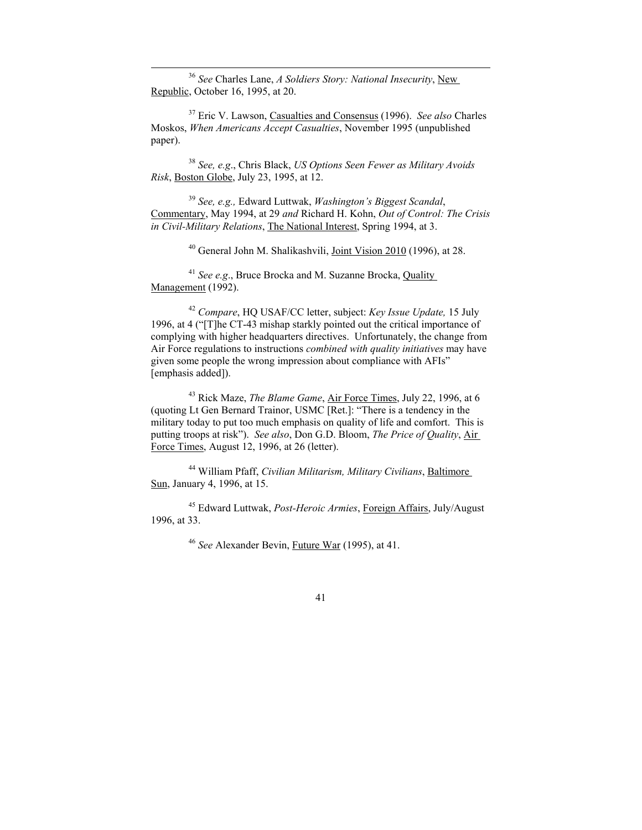36 *See* Charles Lane, *A Soldiers Story: National Insecurity*, New Republic, October 16, 1995, at 20.

37 Eric V. Lawson, Casualties and Consensus (1996). *See also* Charles Moskos, *When Americans Accept Casualties*, November 1995 (unpublished paper).

<sup>38</sup> *See, e.g*., Chris Black, *US Options Seen Fewer as Military Avoids Risk*, Boston Globe, July 23, 1995, at 12.

<sup>39</sup> *See, e.g.,* Edward Luttwak, *Washington's Biggest Scandal*, Commentary, May 1994, at 29 *and* Richard H. Kohn, *Out of Control: The Crisis in Civil-Military Relations*, The National Interest, Spring 1994, at 3.

40 General John M. Shalikashvili, Joint Vision 2010 (1996), at 28.

<sup>41</sup> *See e.g*., Bruce Brocka and M. Suzanne Brocka, Quality Management (1992).

<sup>42</sup> *Compare*, HQ USAF/CC letter, subject: *Key Issue Update,* 15 July 1996, at 4 ("[T]he CT-43 mishap starkly pointed out the critical importance of complying with higher headquarters directives. Unfortunately, the change from Air Force regulations to instructions *combined with quality initiatives* may have given some people the wrong impression about compliance with AFIs" [emphasis added]).

43 Rick Maze, *The Blame Game*, Air Force Times, July 22, 1996, at 6 (quoting Lt Gen Bernard Trainor, USMC [Ret.]: "There is a tendency in the military today to put too much emphasis on quality of life and comfort. This is putting troops at risk"). *See also*, Don G.D. Bloom, *The Price of Quality*, Air Force Times, August 12, 1996, at 26 (letter).

44 William Pfaff, *Civilian Militarism, Military Civilians*, Baltimore Sun, January 4, 1996, at 15.

45 Edward Luttwak, *Post-Heroic Armies*, Foreign Affairs, July/August 1996, at 33.

<sup>46</sup> *See* Alexander Bevin, Future War (1995), at 41.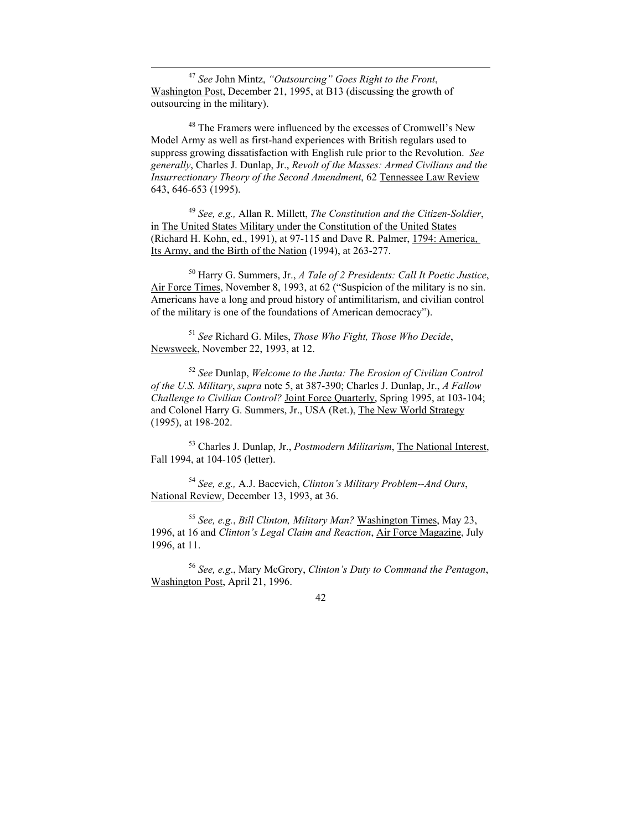47 *See* John Mintz, *"Outsourcing" Goes Right to the Front*, Washington Post, December 21, 1995, at B13 (discussing the growth of outsourcing in the military).

48 The Framers were influenced by the excesses of Cromwell's New Model Army as well as first-hand experiences with British regulars used to suppress growing dissatisfaction with English rule prior to the Revolution. *See generally*, Charles J. Dunlap, Jr., *Revolt of the Masses: Armed Civilians and the Insurrectionary Theory of the Second Amendment*, 62 Tennessee Law Review 643, 646-653 (1995).

<sup>49</sup> *See, e.g.,* Allan R. Millett, *The Constitution and the Citizen-Soldier*, in The United States Military under the Constitution of the United States (Richard H. Kohn, ed., 1991), at 97-115 and Dave R. Palmer, 1794: America, Its Army, and the Birth of the Nation (1994), at 263-277.

50 Harry G. Summers, Jr., *A Tale of 2 Presidents: Call It Poetic Justice*, Air Force Times, November 8, 1993, at 62 ("Suspicion of the military is no sin. Americans have a long and proud history of antimilitarism, and civilian control of the military is one of the foundations of American democracy").

<sup>51</sup> *See* Richard G. Miles, *Those Who Fight, Those Who Decide*, Newsweek, November 22, 1993, at 12.

<sup>52</sup> *See* Dunlap, *Welcome to the Junta: The Erosion of Civilian Control of the U.S. Military*, *supra* note 5, at 387-390; Charles J. Dunlap, Jr., *A Fallow Challenge to Civilian Control?* Joint Force Quarterly, Spring 1995, at 103-104; and Colonel Harry G. Summers, Jr., USA (Ret.), The New World Strategy (1995), at 198-202.

53 Charles J. Dunlap, Jr., *Postmodern Militarism*, The National Interest, Fall 1994, at 104-105 (letter).

<sup>54</sup> *See, e.g.,* A.J. Bacevich, *Clinton's Military Problem--And Ours*, National Review, December 13, 1993, at 36.

<sup>55</sup> *See, e.g.*, *Bill Clinton, Military Man?* Washington Times, May 23, 1996, at 16 and *Clinton's Legal Claim and Reaction*, Air Force Magazine, July 1996, at 11.

<sup>56</sup> *See, e.g*., Mary McGrory, *Clinton's Duty to Command the Pentagon*, Washington Post, April 21, 1996.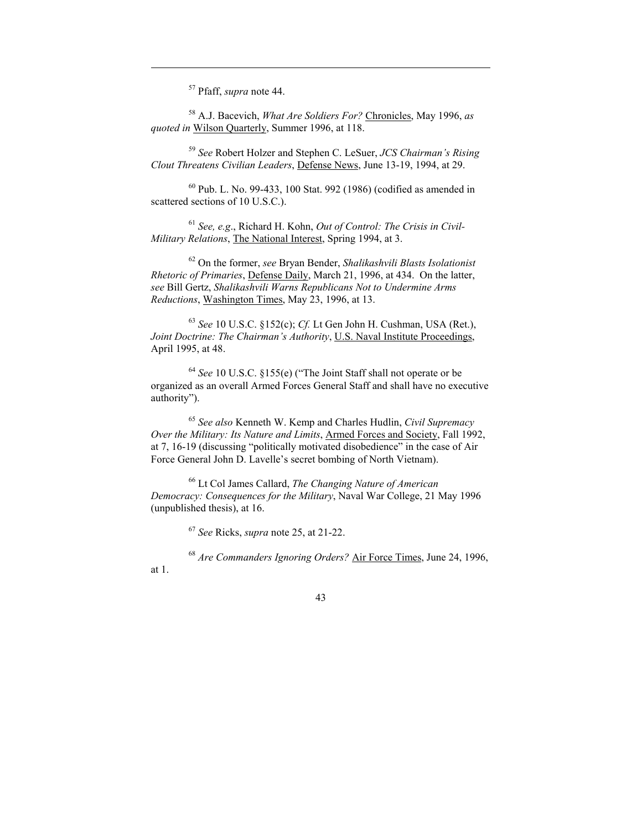57 Pfaff, *supra* note 44.

 $\overline{a}$ 

58 A.J. Bacevich, *What Are Soldiers For?* Chronicles, May 1996, *as quoted in* Wilson Quarterly, Summer 1996, at 118.

<sup>59</sup> *See* Robert Holzer and Stephen C. LeSuer, *JCS Chairman's Rising Clout Threatens Civilian Leaders*, Defense News, June 13-19, 1994, at 29.

 $60$  Pub. L. No. 99-433, 100 Stat. 992 (1986) (codified as amended in scattered sections of 10 U.S.C.).

<sup>61</sup> *See, e.g*., Richard H. Kohn, *Out of Control: The Crisis in Civil-Military Relations*, The National Interest, Spring 1994, at 3.

62 On the former, *see* Bryan Bender, *Shalikashvili Blasts Isolationist Rhetoric of Primaries*, Defense Daily, March 21, 1996, at 434. On the latter, *see* Bill Gertz, *Shalikashvili Warns Republicans Not to Undermine Arms Reductions*, Washington Times, May 23, 1996, at 13.

 63 *See* 10 U.S.C. §152(c); *Cf.* Lt Gen John H. Cushman, USA (Ret.), *Joint Doctrine: The Chairman's Authority*, U.S. Naval Institute Proceedings, April 1995, at 48.

<sup>64</sup> *See* 10 U.S.C. §155(e) ("The Joint Staff shall not operate or be organized as an overall Armed Forces General Staff and shall have no executive authority").

<sup>65</sup> *See also* Kenneth W. Kemp and Charles Hudlin, *Civil Supremacy Over the Military: Its Nature and Limits*, Armed Forces and Society, Fall 1992, at 7, 16-19 (discussing "politically motivated disobedience" in the case of Air Force General John D. Lavelle's secret bombing of North Vietnam).

66 Lt Col James Callard, *The Changing Nature of American Democracy: Consequences for the Military*, Naval War College, 21 May 1996 (unpublished thesis), at 16.

<sup>67</sup> *See* Ricks, *supra* note 25, at 21-22.

<sup>68</sup> *Are Commanders Ignoring Orders?* Air Force Times, June 24, 1996, at 1.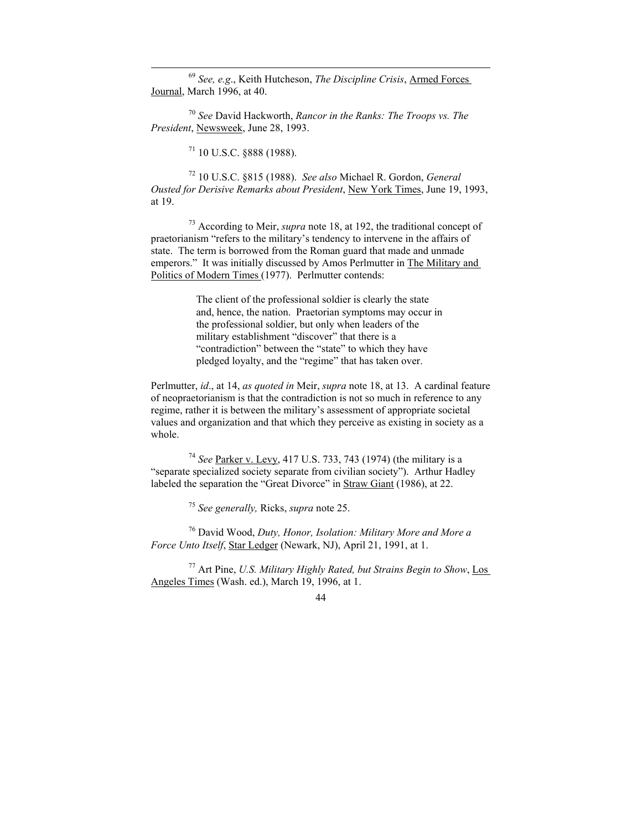69 *See, e.g*., Keith Hutcheson, *The Discipline Crisis*, Armed Forces Journal, March 1996, at 40.

<sup>70</sup> *See* David Hackworth, *Rancor in the Ranks: The Troops vs. The President*, Newsweek, June 28, 1993.

 $71$  10 U.S.C. §888 (1988).

72 10 U.S.C. §815 (1988). *See also* Michael R. Gordon, *General Ousted for Derisive Remarks about President*, New York Times, June 19, 1993, at 19.

73 According to Meir, *supra* note 18, at 192, the traditional concept of praetorianism "refers to the military's tendency to intervene in the affairs of state. The term is borrowed from the Roman guard that made and unmade emperors." It was initially discussed by Amos Perlmutter in The Military and Politics of Modern Times (1977). Perlmutter contends:

> The client of the professional soldier is clearly the state and, hence, the nation. Praetorian symptoms may occur in the professional soldier, but only when leaders of the military establishment "discover" that there is a "contradiction" between the "state" to which they have pledged loyalty, and the "regime" that has taken over.

Perlmutter, *id*., at 14, *as quoted in* Meir, *supra* note 18, at 13. A cardinal feature of neopraetorianism is that the contradiction is not so much in reference to any regime, rather it is between the military's assessment of appropriate societal values and organization and that which they perceive as existing in society as a whole.

<sup>74</sup> *See* Parker v. Levy, 417 U.S. 733, 743 (1974) (the military is a "separate specialized society separate from civilian society"). Arthur Hadley labeled the separation the "Great Divorce" in Straw Giant (1986), at 22.

<sup>75</sup> *See generally,* Ricks, *supra* note 25.

76 David Wood, *Duty, Honor, Isolation: Military More and More a Force Unto Itself*, Star Ledger (Newark, NJ), April 21, 1991, at 1.

77 Art Pine, *U.S. Military Highly Rated, but Strains Begin to Show*, Los Angeles Times (Wash. ed.), March 19, 1996, at 1.

<sup>44</sup>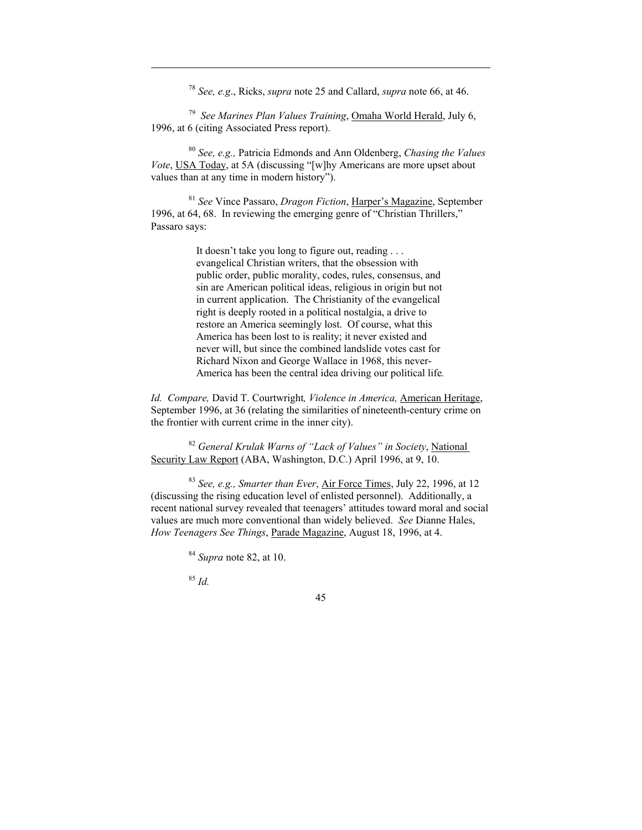<sup>78</sup> *See, e.g*., Ricks, *supra* note 25 and Callard, *supra* note 66, at 46.

<sup>79</sup> *See Marines Plan Values Training*, Omaha World Herald, July 6, 1996, at 6 (citing Associated Press report).

<sup>80</sup> *See, e.g.,* Patricia Edmonds and Ann Oldenberg, *Chasing the Values Vote*, USA Today, at 5A (discussing "[w]hy Americans are more upset about values than at any time in modern history").

<sup>81</sup> *See* Vince Passaro, *Dragon Fiction*, Harper's Magazine, September 1996, at 64, 68. In reviewing the emerging genre of "Christian Thrillers," Passaro says:

> It doesn't take you long to figure out, reading . . . evangelical Christian writers, that the obsession with public order, public morality, codes, rules, consensus, and sin are American political ideas, religious in origin but not in current application. The Christianity of the evangelical right is deeply rooted in a political nostalgia, a drive to restore an America seemingly lost. Of course, what this America has been lost to is reality; it never existed and never will, but since the combined landslide votes cast for Richard Nixon and George Wallace in 1968, this never-America has been the central idea driving our political life*.*

*Id. Compare,* David T. Courtwright*, Violence in America,* American Heritage, September 1996, at 36 (relating the similarities of nineteenth-century crime on the frontier with current crime in the inner city).

<sup>82</sup> *General Krulak Warns of "Lack of Values" in Society*, National Security Law Report (ABA, Washington, D.C.) April 1996, at 9, 10.

<sup>83</sup> *See, e.g., Smarter than Ever*, Air Force Times, July 22, 1996, at 12 (discussing the rising education level of enlisted personnel). Additionally, a recent national survey revealed that teenagers' attitudes toward moral and social values are much more conventional than widely believed. *See* Dianne Hales, *How Teenagers See Things*, Parade Magazine, August 18, 1996, at 4.

<sup>84</sup> *Supra* note 82, at 10.

<sup>85</sup> *Id.* 

 $\overline{a}$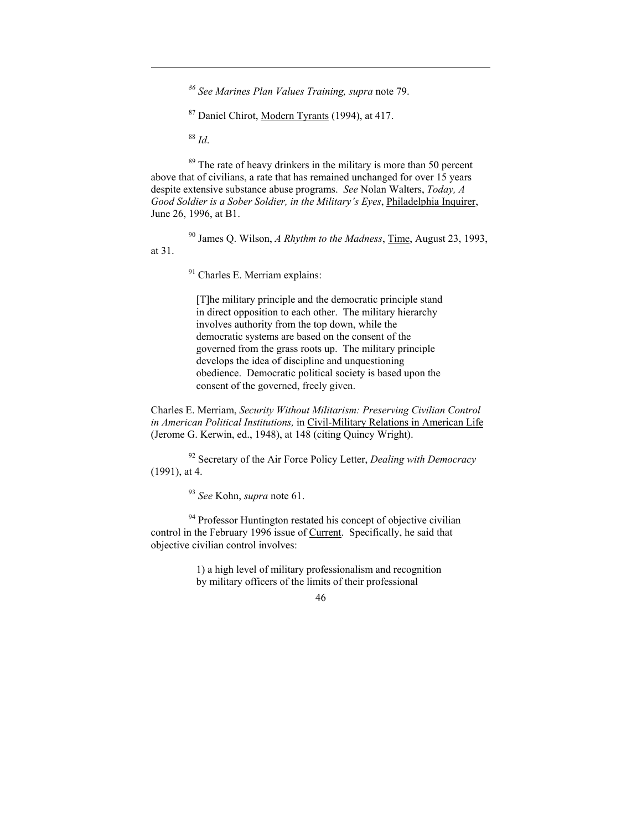*<sup>86</sup> See Marines Plan Values Training, supra* note 79.

87 Daniel Chirot, Modern Tyrants (1994), at 417.

<sup>88</sup> *Id*.

 $\overline{a}$ 

 $89$  The rate of heavy drinkers in the military is more than 50 percent above that of civilians, a rate that has remained unchanged for over 15 years despite extensive substance abuse programs. *See* Nolan Walters, *Today, A Good Soldier is a Sober Soldier, in the Military's Eyes*, Philadelphia Inquirer, June 26, 1996, at B1.

90 James Q. Wilson, *A Rhythm to the Madness*, Time, August 23, 1993, at 31.

<sup>91</sup> Charles E. Merriam explains:

[T]he military principle and the democratic principle stand in direct opposition to each other. The military hierarchy involves authority from the top down, while the democratic systems are based on the consent of the governed from the grass roots up. The military principle develops the idea of discipline and unquestioning obedience. Democratic political society is based upon the consent of the governed, freely given.

Charles E. Merriam, *Security Without Militarism: Preserving Civilian Control in American Political Institutions,* in Civil-Military Relations in American Life (Jerome G. Kerwin, ed., 1948), at 148 (citing Quincy Wright).

92 Secretary of the Air Force Policy Letter, *Dealing with Democracy* (1991), at 4.

<sup>93</sup> *See* Kohn, *supra* note 61.

<sup>94</sup> Professor Huntington restated his concept of objective civilian control in the February 1996 issue of Current. Specifically, he said that objective civilian control involves:

> 1) a high level of military professionalism and recognition by military officers of the limits of their professional

<sup>46</sup>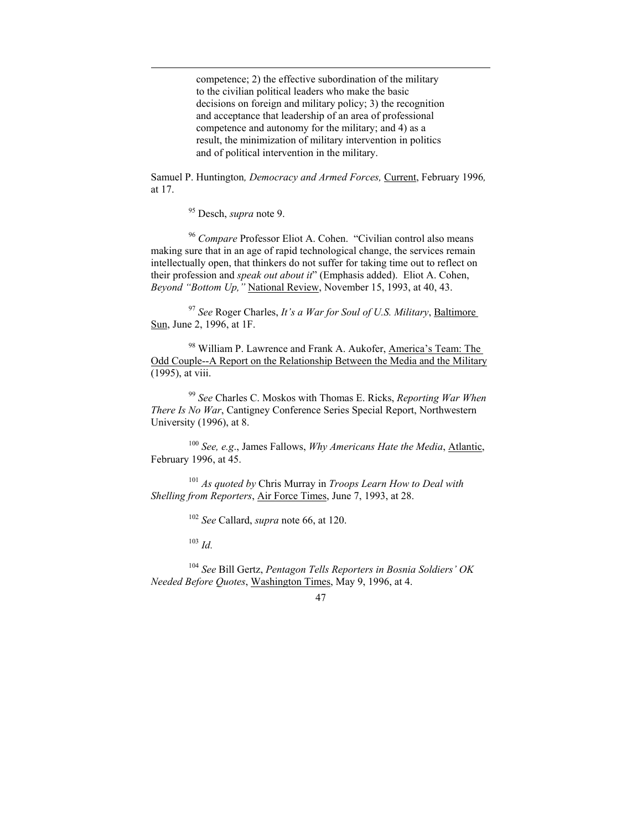competence; 2) the effective subordination of the military to the civilian political leaders who make the basic decisions on foreign and military policy; 3) the recognition and acceptance that leadership of an area of professional competence and autonomy for the military; and 4) as a result, the minimization of military intervention in politics and of political intervention in the military.

Samuel P. Huntington*, Democracy and Armed Forces,* Current, February 1996*,* at 17.

95 Desch, *supra* note 9.

 $\overline{a}$ 

<sup>96</sup> *Compare* Professor Eliot A. Cohen. "Civilian control also means making sure that in an age of rapid technological change, the services remain intellectually open, that thinkers do not suffer for taking time out to reflect on their profession and *speak out about it*" (Emphasis added). Eliot A. Cohen, *Beyond "Bottom Up,"* National Review, November 15, 1993, at 40, 43.

<sup>97</sup> *See* Roger Charles, *It's a War for Soul of U.S. Military*, Baltimore Sun, June 2, 1996, at 1F.

98 William P. Lawrence and Frank A. Aukofer, America's Team: The Odd Couple--A Report on the Relationship Between the Media and the Military (1995), at viii.

<sup>99</sup> *See* Charles C. Moskos with Thomas E. Ricks, *Reporting War When There Is No War*, Cantigney Conference Series Special Report, Northwestern University (1996), at 8.

<sup>100</sup> *See, e.g*., James Fallows, *Why Americans Hate the Media*, Atlantic, February 1996, at 45.

<sup>101</sup> *As quoted by* Chris Murray in *Troops Learn How to Deal with Shelling from Reporters*, Air Force Times, June 7, 1993, at 28.

<sup>102</sup> *See* Callard, *supra* note 66, at 120.

<sup>103</sup> *Id.*

<sup>104</sup> *See* Bill Gertz, *Pentagon Tells Reporters in Bosnia Soldiers' OK Needed Before Quotes*, Washington Times, May 9, 1996, at 4.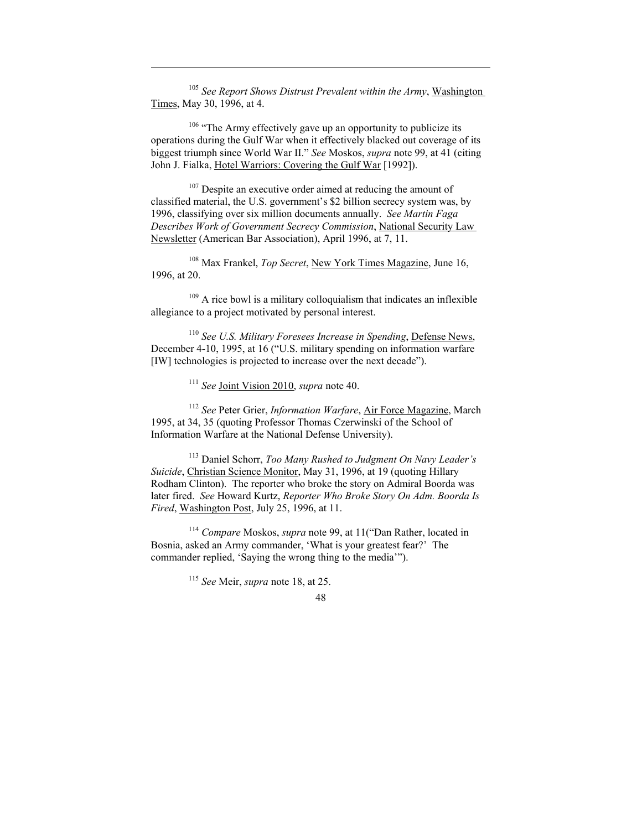<sup>105</sup> *See Report Shows Distrust Prevalent within the Army*, Washington Times, May 30, 1996, at 4.

 $\overline{a}$ 

<sup>106</sup> "The Army effectively gave up an opportunity to publicize its operations during the Gulf War when it effectively blacked out coverage of its biggest triumph since World War II." *See* Moskos, *supra* note 99, at 41 (citing John J. Fialka, Hotel Warriors: Covering the Gulf War [1992]).

<sup>107</sup> Despite an executive order aimed at reducing the amount of classified material, the U.S. government's \$2 billion secrecy system was, by 1996, classifying over six million documents annually. *See Martin Faga Describes Work of Government Secrecy Commission*, National Security Law Newsletter (American Bar Association), April 1996, at 7, 11.

108 Max Frankel, *Top Secret*, New York Times Magazine, June 16, 1996, at 20.

 $109$  A rice bowl is a military colloquialism that indicates an inflexible allegiance to a project motivated by personal interest.

<sup>110</sup> *See U.S. Military Foresees Increase in Spending*, Defense News, December 4-10, 1995, at 16 ("U.S. military spending on information warfare [IW] technologies is projected to increase over the next decade").

<sup>111</sup> *See* Joint Vision 2010, *supra* note 40.

<sup>112</sup> *See* Peter Grier, *Information Warfare*, Air Force Magazine, March 1995, at 34, 35 (quoting Professor Thomas Czerwinski of the School of Information Warfare at the National Defense University).

113 Daniel Schorr, *Too Many Rushed to Judgment On Navy Leader's Suicide*, Christian Science Monitor, May 31, 1996, at 19 (quoting Hillary Rodham Clinton). The reporter who broke the story on Admiral Boorda was later fired. *See* Howard Kurtz, *Reporter Who Broke Story On Adm. Boorda Is Fired*, Washington Post, July 25, 1996, at 11.

<sup>114</sup> *Compare* Moskos, *supra* note 99, at 11("Dan Rather, located in Bosnia, asked an Army commander, 'What is your greatest fear?' The commander replied, 'Saying the wrong thing to the media'").

<sup>115</sup> *See* Meir, *supra* note 18, at 25.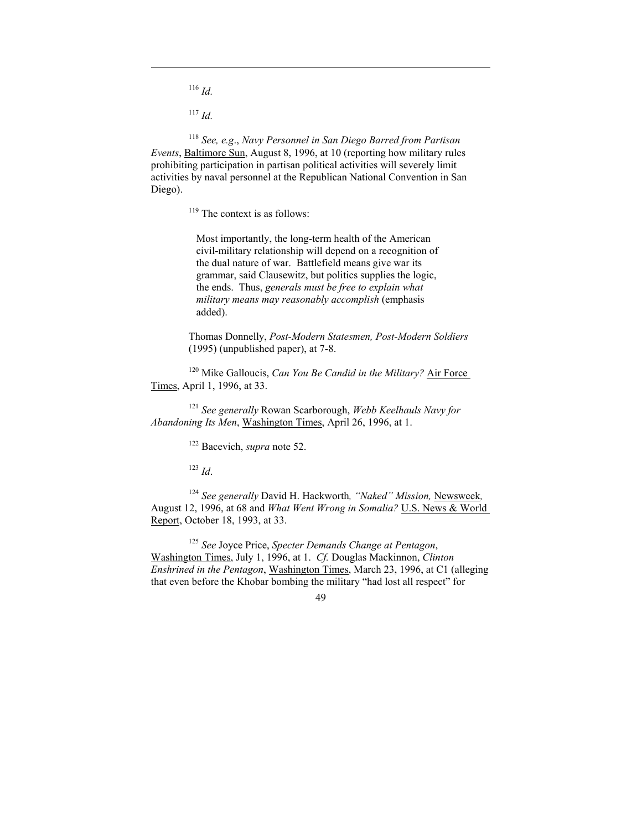<sup>116</sup> *Id.*

 $\overline{a}$ 

<sup>117</sup> *Id.*

<sup>118</sup> *See, e.g*., *Navy Personnel in San Diego Barred from Partisan Events*, Baltimore Sun, August 8, 1996, at 10 (reporting how military rules prohibiting participation in partisan political activities will severely limit activities by naval personnel at the Republican National Convention in San Diego).

 $119$  The context is as follows:

Most importantly, the long-term health of the American civil-military relationship will depend on a recognition of the dual nature of war. Battlefield means give war its grammar, said Clausewitz, but politics supplies the logic, the ends. Thus, *generals must be free to explain what military means may reasonably accomplish* (emphasis added).

Thomas Donnelly, *Post-Modern Statesmen, Post-Modern Soldiers* (1995) (unpublished paper), at 7-8.

120 Mike Galloucis, *Can You Be Candid in the Military?* Air Force Times, April 1, 1996, at 33.

<sup>121</sup> *See generally* Rowan Scarborough, *Webb Keelhauls Navy for Abandoning Its Men*, Washington Times, April 26, 1996, at 1.

122 Bacevich, *supra* note 52.

<sup>123</sup> *Id*.

<sup>124</sup> *See generally* David H. Hackworth*, "Naked" Mission,* Newsweek*,*  August 12, 1996, at 68 and *What Went Wrong in Somalia?* U.S. News & World Report, October 18, 1993, at 33.

<sup>125</sup> *See* Joyce Price, *Specter Demands Change at Pentagon*, Washington Times, July 1, 1996, at 1. *Cf.* Douglas Mackinnon, *Clinton Enshrined in the Pentagon*, Washington Times, March 23, 1996, at C1 (alleging that even before the Khobar bombing the military "had lost all respect" for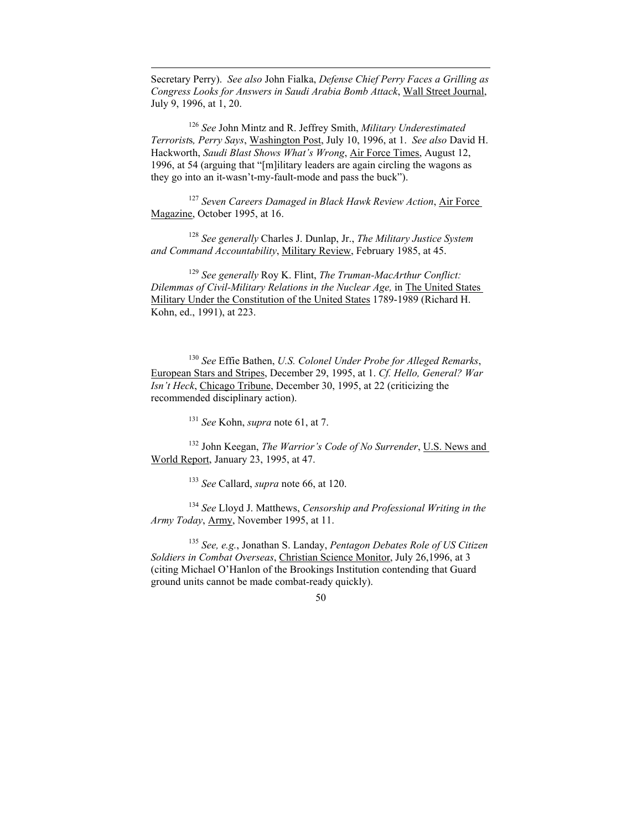Secretary Perry). *See also* John Fialka, *Defense Chief Perry Faces a Grilling as Congress Looks for Answers in Saudi Arabia Bomb Attack*, Wall Street Journal, July 9, 1996, at 1, 20.

 $\overline{a}$ 

<sup>126</sup> *See* John Mintz and R. Jeffrey Smith, *Military Underestimated Terrorist*s*, Perry Says*, Washington Post, July 10, 1996, at 1. *See also* David H. Hackworth, *Saudi Blast Shows What's Wrong*, Air Force Times, August 12, 1996, at 54 (arguing that "[m]ilitary leaders are again circling the wagons as they go into an it-wasn't-my-fault-mode and pass the buck").

<sup>127</sup> *Seven Careers Damaged in Black Hawk Review Action*, Air Force Magazine, October 1995, at 16.

<sup>128</sup> *See generally* Charles J. Dunlap, Jr., *The Military Justice System and Command Accountability*, Military Review, February 1985, at 45.

<sup>129</sup> *See generally* Roy K. Flint, *The Truman-MacArthur Conflict: Dilemmas of Civil-Military Relations in the Nuclear Age, in The United States* Military Under the Constitution of the United States 1789-1989 (Richard H. Kohn, ed., 1991), at 223.

<sup>130</sup> *See* Effie Bathen, *U.S. Colonel Under Probe for Alleged Remarks*, European Stars and Stripes, December 29, 1995, at 1. *Cf. Hello, General? War Isn't Heck*, Chicago Tribune, December 30, 1995, at 22 (criticizing the recommended disciplinary action).

<sup>131</sup> *See* Kohn, *supra* note 61, at 7.

132 John Keegan, *The Warrior's Code of No Surrender*, U.S. News and World Report, January 23, 1995, at 47.

<sup>133</sup> *See* Callard, *supra* note 66, at 120.

<sup>134</sup> *See* Lloyd J. Matthews, *Censorship and Professional Writing in the Army Today*, Army, November 1995, at 11.

 135 *See, e.g.*, Jonathan S. Landay, *Pentagon Debates Role of US Citizen Soldiers in Combat Overseas*, Christian Science Monitor, July 26,1996, at 3 (citing Michael O'Hanlon of the Brookings Institution contending that Guard ground units cannot be made combat-ready quickly).

<sup>50</sup>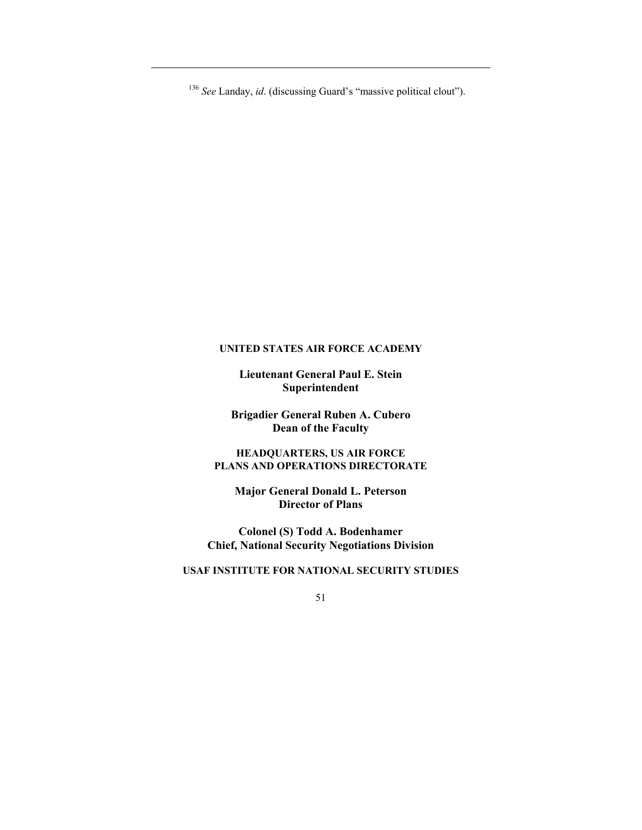<sup>136</sup> *See* Landay, *id*. (discussing Guard's "massive political clout").

 $\overline{a}$ 

### **UNITED STATES AIR FORCE ACADEMY**

**Lieutenant General Paul E. Stein Superintendent** 

**Brigadier General Ruben A. Cubero Dean of the Faculty** 

**HEADQUARTERS, US AIR FORCE PLANS AND OPERATIONS DIRECTORATE** 

**Major General Donald L. Peterson Director of Plans** 

**Colonel (S) Todd A. Bodenhamer Chief, National Security Negotiations Division** 

# **USAF INSTITUTE FOR NATIONAL SECURITY STUDIES**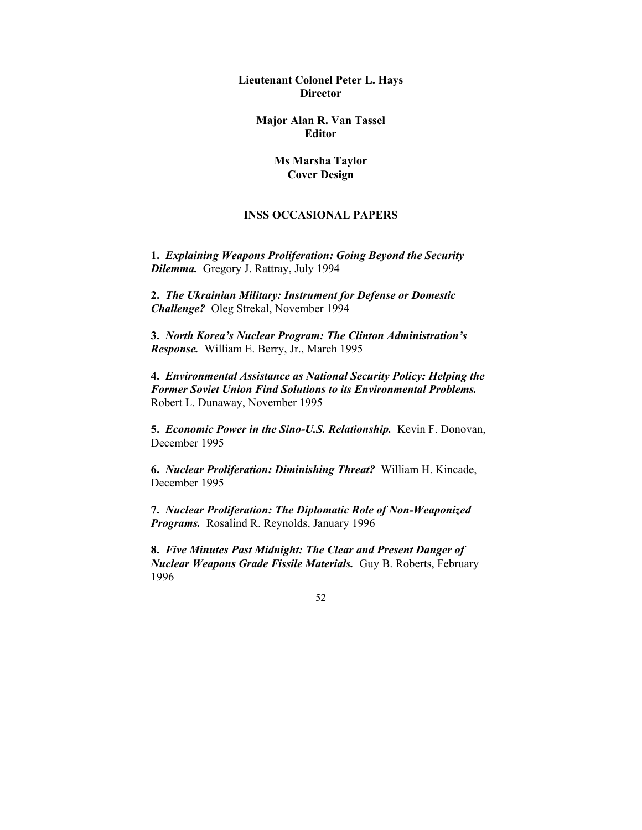**Lieutenant Colonel Peter L. Hays Director** 

 $\overline{a}$ 

**Major Alan R. Van Tassel Editor** 

> **Ms Marsha Taylor Cover Design**

# **INSS OCCASIONAL PAPERS**

**1.** *Explaining Weapons Proliferation: Going Beyond the Security Dilemma.*Gregory J. Rattray, July 1994

**2.** *The Ukrainian Military: Instrument for Defense or Domestic Challenge?* Oleg Strekal, November 1994

**3.** *North Korea's Nuclear Program: The Clinton Administration's Response.* William E. Berry, Jr., March 1995

**4.** *Environmental Assistance as National Security Policy: Helping the Former Soviet Union Find Solutions to its Environmental Problems.* Robert L. Dunaway, November 1995

**5.** *Economic Power in the Sino-U.S. Relationship.* Kevin F. Donovan, December 1995

**6.** *Nuclear Proliferation: Diminishing Threat?* William H. Kincade, December 1995

**7.** *Nuclear Proliferation: The Diplomatic Role of Non-Weaponized Programs.*Rosalind R. Reynolds, January 1996

**8.** *Five Minutes Past Midnight: The Clear and Present Danger of Nuclear Weapons Grade Fissile Materials.*Guy B. Roberts, February 1996